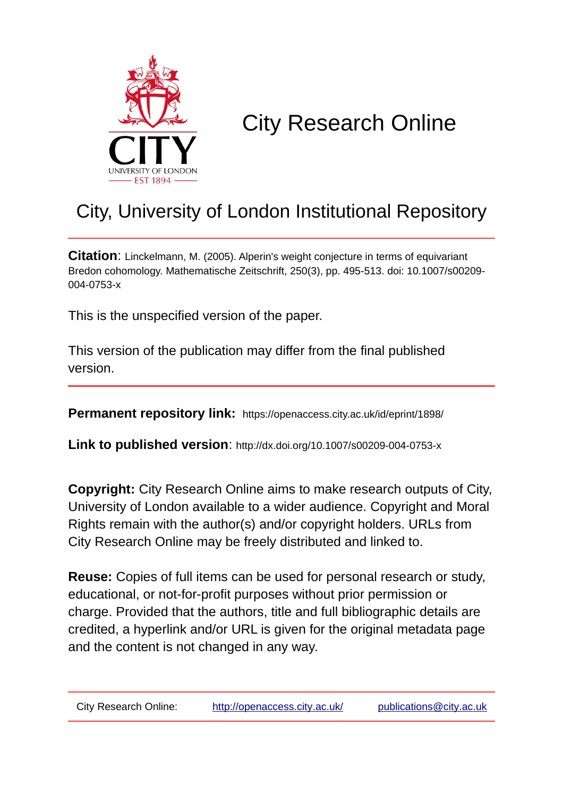

# City Research Online

## City, University of London Institutional Repository

**Citation**: Linckelmann, M. (2005). Alperin's weight conjecture in terms of equivariant Bredon cohomology. Mathematische Zeitschrift, 250(3), pp. 495-513. doi: 10.1007/s00209- 004-0753-x

This is the unspecified version of the paper.

This version of the publication may differ from the final published version.

**Permanent repository link:** https://openaccess.city.ac.uk/id/eprint/1898/

**Link to published version**: http://dx.doi.org/10.1007/s00209-004-0753-x

**Copyright:** City Research Online aims to make research outputs of City, University of London available to a wider audience. Copyright and Moral Rights remain with the author(s) and/or copyright holders. URLs from City Research Online may be freely distributed and linked to.

**Reuse:** Copies of full items can be used for personal research or study, educational, or not-for-profit purposes without prior permission or charge. Provided that the authors, title and full bibliographic details are credited, a hyperlink and/or URL is given for the original metadata page and the content is not changed in any way.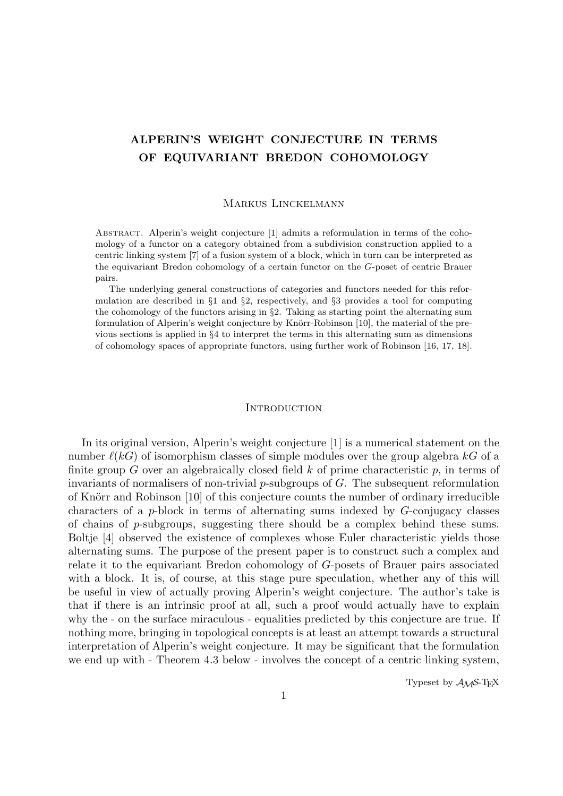### ALPERIN'S WEIGHT CONJECTURE IN TERMS OF EQUIVARIANT BREDON COHOMOLOGY

#### Markus Linckelmann

ABSTRACT. Alperin's weight conjecture [1] admits a reformulation in terms of the cohomology of a functor on a category obtained from a subdivision construction applied to a centric linking system [7] of a fusion system of a block, which in turn can be interpreted as the equivariant Bredon cohomology of a certain functor on the G-poset of centric Brauer pairs.

The underlying general constructions of categories and functors needed for this reformulation are described in  $\S1$  and  $\S2$ , respectively, and  $\S3$  provides a tool for computing the cohomology of the functors arising in  $\S2$ . Taking as starting point the alternating sum formulation of Alperin's weight conjecture by Knörr-Robinson [10], the material of the previous sections is applied in §4 to interpret the terms in this alternating sum as dimensions of cohomology spaces of appropriate functors, using further work of Robinson [16, 17, 18].

#### **INTRODUCTION**

In its original version, Alperin's weight conjecture [1] is a numerical statement on the number  $\ell(k)$  of isomorphism classes of simple modules over the group algebra  $kG$  of a finite group  $G$  over an algebraically closed field  $k$  of prime characteristic  $p$ , in terms of invariants of normalisers of non-trivial  $p$ -subgroups of  $G$ . The subsequent reformulation of Knörr and Robinson [10] of this conjecture counts the number of ordinary irreducible characters of a p-block in terms of alternating sums indexed by G-conjugacy classes of chains of  $p$ -subgroups, suggesting there should be a complex behind these sums. Boltje [4] observed the existence of complexes whose Euler characteristic yields those alternating sums. The purpose of the present paper is to construct such a complex and relate it to the equivariant Bredon cohomology of G-posets of Brauer pairs associated with a block. It is, of course, at this stage pure speculation, whether any of this will be useful in view of actually proving Alperin's weight conjecture. The author's take is that if there is an intrinsic proof at all, such a proof would actually have to explain why the - on the surface miraculous - equalities predicted by this conjecture are true. If nothing more, bringing in topological concepts is at least an attempt towards a structural interpretation of Alperin's weight conjecture. It may be significant that the formulation we end up with - Theorem 4.3 below - involves the concept of a centric linking system,

Typeset by  $A_{\mathcal{M}}S$ -T<sub>E</sub>X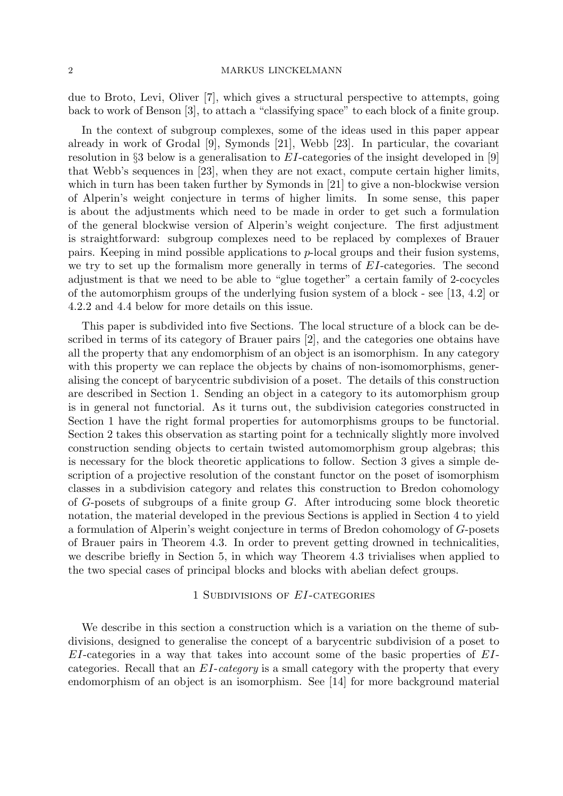due to Broto, Levi, Oliver [7], which gives a structural perspective to attempts, going back to work of Benson [3], to attach a "classifying space" to each block of a finite group.

In the context of subgroup complexes, some of the ideas used in this paper appear already in work of Grodal [9], Symonds [21], Webb [23]. In particular, the covariant resolution in §3 below is a generalisation to  $EI$ -categories of the insight developed in [9] that Webb's sequences in [23], when they are not exact, compute certain higher limits, which in turn has been taken further by Symonds in [21] to give a non-blockwise version of Alperin's weight conjecture in terms of higher limits. In some sense, this paper is about the adjustments which need to be made in order to get such a formulation of the general blockwise version of Alperin's weight conjecture. The first adjustment is straightforward: subgroup complexes need to be replaced by complexes of Brauer pairs. Keeping in mind possible applications to p-local groups and their fusion systems, we try to set up the formalism more generally in terms of EI-categories. The second adjustment is that we need to be able to "glue together" a certain family of 2-cocycles of the automorphism groups of the underlying fusion system of a block - see [13, 4.2] or 4.2.2 and 4.4 below for more details on this issue.

This paper is subdivided into five Sections. The local structure of a block can be described in terms of its category of Brauer pairs [2], and the categories one obtains have all the property that any endomorphism of an object is an isomorphism. In any category with this property we can replace the objects by chains of non-isomomorphisms, generalising the concept of barycentric subdivision of a poset. The details of this construction are described in Section 1. Sending an object in a category to its automorphism group is in general not functorial. As it turns out, the subdivision categories constructed in Section 1 have the right formal properties for automorphisms groups to be functorial. Section 2 takes this observation as starting point for a technically slightly more involved construction sending objects to certain twisted automomorphism group algebras; this is necessary for the block theoretic applications to follow. Section 3 gives a simple description of a projective resolution of the constant functor on the poset of isomorphism classes in a subdivision category and relates this construction to Bredon cohomology of G-posets of subgroups of a finite group G. After introducing some block theoretic notation, the material developed in the previous Sections is applied in Section 4 to yield a formulation of Alperin's weight conjecture in terms of Bredon cohomology of G-posets of Brauer pairs in Theorem 4.3. In order to prevent getting drowned in technicalities, we describe briefly in Section 5, in which way Theorem 4.3 trivialises when applied to the two special cases of principal blocks and blocks with abelian defect groups.

#### 1 Subdivisions of EI-categories

We describe in this section a construction which is a variation on the theme of subdivisions, designed to generalise the concept of a barycentric subdivision of a poset to EI-categories in a way that takes into account some of the basic properties of EIcategories. Recall that an EI-category is a small category with the property that every endomorphism of an object is an isomorphism. See [14] for more background material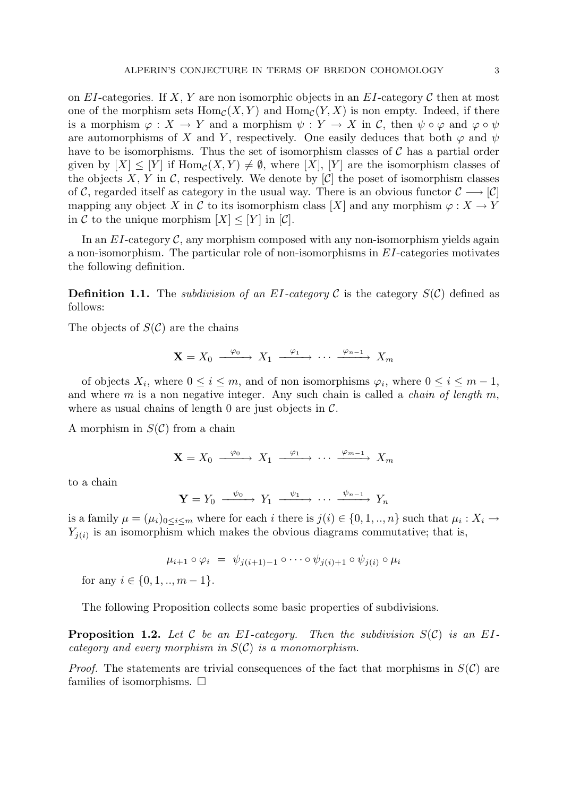on EI-categories. If X, Y are non isomorphic objects in an EI-category C then at most one of the morphism sets  $Hom_{\mathcal{C}}(X, Y)$  and  $Hom_{\mathcal{C}}(Y, X)$  is non empty. Indeed, if there is a morphism  $\varphi: X \to Y$  and a morphism  $\psi: Y \to X$  in C, then  $\psi \circ \varphi$  and  $\varphi \circ \psi$ are automorphisms of X and Y, respectively. One easily deduces that both  $\varphi$  and  $\psi$ have to be isomorphisms. Thus the set of isomorphism classes of  $\mathcal C$  has a partial order given by  $[X] \leq [Y]$  if  $\text{Hom}_{\mathcal{C}}(X, Y) \neq \emptyset$ , where  $[X]$ ,  $[Y]$  are the isomorphism classes of the objects X, Y in C, respectively. We denote by  $[\mathcal{C}]$  the poset of isomorphism classes of C, regarded itself as category in the usual way. There is an obvious functor  $\mathcal{C} \longrightarrow [\mathcal{C}]$ mapping any object X in C to its isomorphism class [X] and any morphism  $\varphi: X \to Y$ in C to the unique morphism  $|X| \leq |Y|$  in  $|C|$ .

In an  $EI$ -category  $\mathcal{C}$ , any morphism composed with any non-isomorphism yields again a non-isomorphism. The particular role of non-isomorphisms in EI-categories motivates the following definition.

**Definition 1.1.** The *subdivision of an EI-category C* is the category  $S(\mathcal{C})$  defined as follows:

The objects of  $S(\mathcal{C})$  are the chains

$$
\mathbf{X} = X_0 \xrightarrow{\varphi_0} X_1 \xrightarrow{\varphi_1} \cdots \xrightarrow{\varphi_{n-1}} X_m
$$

of objects  $X_i$ , where  $0 \le i \le m$ , and of non isomorphisms  $\varphi_i$ , where  $0 \le i \le m-1$ , and where  $m$  is a non negative integer. Any such chain is called a *chain of length*  $m$ , where as usual chains of length 0 are just objects in  $\mathcal{C}$ .

A morphism in  $S(\mathcal{C})$  from a chain

$$
\mathbf{X} = X_0 \xrightarrow{\varphi_0} X_1 \xrightarrow{\varphi_1} \cdots \xrightarrow{\varphi_{m-1}} X_m
$$

to a chain

$$
\mathbf{Y} = Y_0 \xrightarrow{\psi_0} Y_1 \xrightarrow{\psi_1} \cdots \xrightarrow{\psi_{n-1}} Y_n
$$

is a family  $\mu = (\mu_i)_{0 \leq i \leq m}$  where for each i there is  $j(i) \in \{0, 1, ..., n\}$  such that  $\mu_i : X_i \to$  $Y_{j(i)}$  is an isomorphism which makes the obvious diagrams commutative; that is,

$$
\mu_{i+1} \circ \varphi_i = \psi_{j(i+1)-1} \circ \cdots \circ \psi_{j(i)+1} \circ \psi_{j(i)} \circ \mu_i
$$

for any  $i \in \{0, 1, ..., m-1\}.$ 

The following Proposition collects some basic properties of subdivisions.

**Proposition 1.2.** Let C be an EI-category. Then the subdivision  $S(\mathcal{C})$  is an EIcategory and every morphism in  $S(\mathcal{C})$  is a monomorphism.

*Proof.* The statements are trivial consequences of the fact that morphisms in  $S(\mathcal{C})$  are families of isomorphisms.  $\square$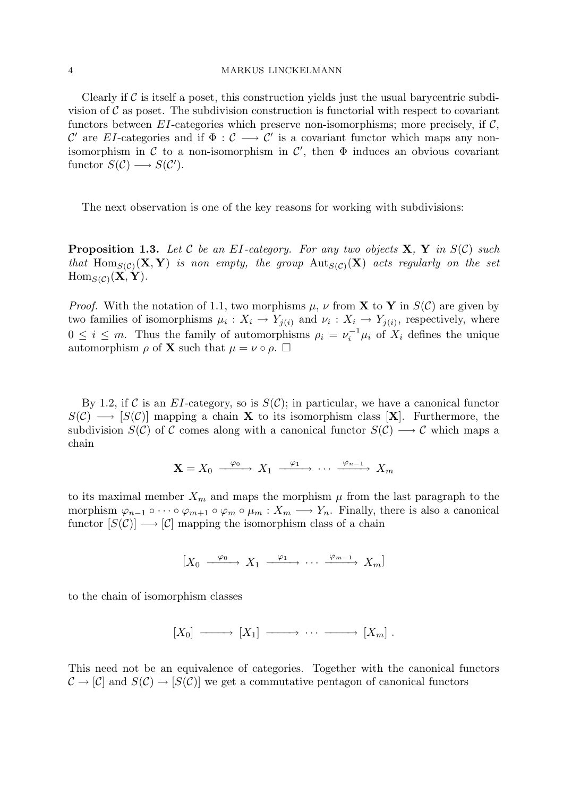Clearly if  $\mathcal C$  is itself a poset, this construction yields just the usual barycentric subdivision of  $\mathcal C$  as poset. The subdivision construction is functorial with respect to covariant functors between  $EI$ -categories which preserve non-isomorphisms; more precisely, if  $C$ , C' are EI-categories and if  $\Phi: \mathcal{C} \longrightarrow \mathcal{C}'$  is a covariant functor which maps any nonisomorphism in C to a non-isomorphism in  $\mathcal{C}'$ , then  $\Phi$  induces an obvious covariant functor  $S(\mathcal{C}) \longrightarrow S(\mathcal{C}')$ .

The next observation is one of the key reasons for working with subdivisions:

**Proposition 1.3.** Let C be an EI-category. For any two objects  $X$ ,  $Y$  in  $S(C)$  such that Hom $_{S(\mathcal{C})}(\mathbf{X}, \mathbf{Y})$  is non empty, the group  ${\rm Aut}_{S(\mathcal{C})}(\mathbf{X})$  acts regularly on the set  $\text{Hom}_{S(\mathcal{C})}(\mathbf{X}, \mathbf{Y}).$ 

*Proof.* With the notation of 1.1, two morphisms  $\mu$ ,  $\nu$  from **X** to **Y** in  $S(\mathcal{C})$  are given by two families of isomorphisms  $\mu_i: X_i \to Y_{j(i)}$  and  $\nu_i: X_i \to Y_{j(i)}$ , respectively, where  $0 \leq i \leq m$ . Thus the family of automorphisms  $\rho_i = \nu_i^{-1} \mu_i$  of  $X_i$  defines the unique automorphism  $\rho$  of **X** such that  $\mu = \nu \circ \rho$ .  $\Box$ 

By 1.2, if C is an EI-category, so is  $S(\mathcal{C})$ ; in particular, we have a canonical functor  $S(\mathcal{C}) \longrightarrow [S(\mathcal{C})]$  mapping a chain **X** to its isomorphism class [**X**]. Furthermore, the subdivision  $S(\mathcal{C})$  of C comes along with a canonical functor  $S(\mathcal{C}) \longrightarrow \mathcal{C}$  which maps a chain

$$
\mathbf{X} = X_0 \xrightarrow{\varphi_0} X_1 \xrightarrow{\varphi_1} \cdots \xrightarrow{\varphi_{n-1}} X_m
$$

to its maximal member  $X_m$  and maps the morphism  $\mu$  from the last paragraph to the morphism  $\varphi_{n-1} \circ \cdots \circ \varphi_{m+1} \circ \varphi_m \circ \mu_m : X_m \longrightarrow Y_n$ . Finally, there is also a canonical functor  $[S(\mathcal{C})] \longrightarrow [\mathcal{C}]$  mapping the isomorphism class of a chain

$$
[X_0 \xrightarrow{\varphi_0} X_1 \xrightarrow{\varphi_1} \cdots \xrightarrow{\varphi_{m-1}} X_m]
$$

to the chain of isomorphism classes

$$
[X_0] \longrightarrow [X_1] \longrightarrow \cdots \longrightarrow [X_m] .
$$

This need not be an equivalence of categories. Together with the canonical functors  $\mathcal{C} \to [\mathcal{C}]$  and  $S(\mathcal{C}) \to [S(\mathcal{C})]$  we get a commutative pentagon of canonical functors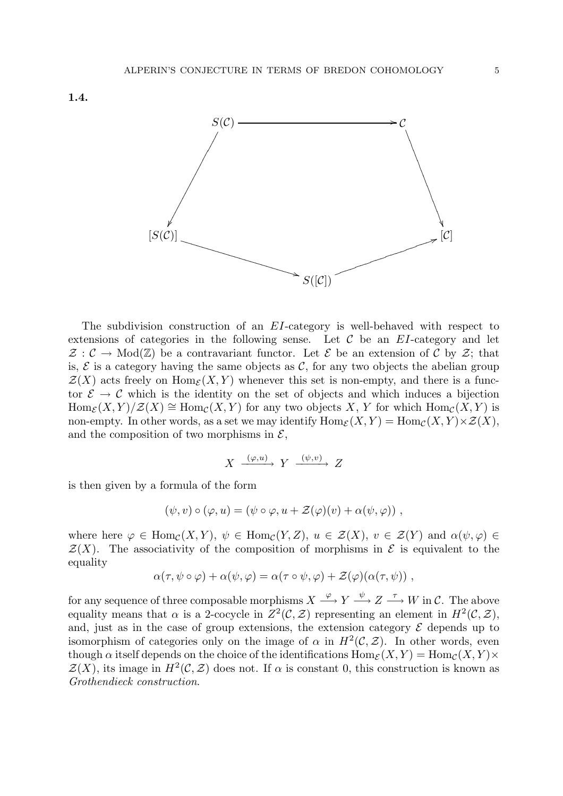

The subdivision construction of an EI-category is well-behaved with respect to extensions of categories in the following sense. Let  $\mathcal C$  be an EI-category and let  $\mathcal{Z}: \mathcal{C} \to \text{Mod}(\mathbb{Z})$  be a contravariant functor. Let  $\mathcal{E}$  be an extension of  $\mathcal{C}$  by  $\mathcal{Z}$ ; that is,  $\mathcal E$  is a category having the same objects as  $\mathcal C$ , for any two objects the abelian group  $\mathcal{Z}(X)$  acts freely on  $\text{Hom}_{\mathcal{E}}(X, Y)$  whenever this set is non-empty, and there is a functor  $\mathcal{E} \to \mathcal{C}$  which is the identity on the set of objects and which induces a bijection  $\text{Hom}_{\mathcal{E}}(X, Y)/\mathcal{Z}(X) \cong \text{Hom}_{\mathcal{C}}(X, Y)$  for any two objects X, Y for which  $\text{Hom}_{\mathcal{C}}(X, Y)$  is non-empty. In other words, as a set we may identify  $\text{Hom}_{\mathcal{E}}(X, Y) = \text{Hom}_{\mathcal{C}}(X, Y) \times \mathcal{Z}(X)$ , and the composition of two morphisms in  $\mathcal{E}$ ,

$$
X \xrightarrow{(\varphi, u)} Y \xrightarrow{(\psi, v)} Z
$$

is then given by a formula of the form

$$
(\psi, v) \circ (\varphi, u) = (\psi \circ \varphi, u + \mathcal{Z}(\varphi)(v) + \alpha(\psi, \varphi)),
$$

where here  $\varphi \in \text{Hom}_{\mathcal{C}}(X, Y)$ ,  $\psi \in \text{Hom}_{\mathcal{C}}(Y, Z)$ ,  $u \in \mathcal{Z}(X)$ ,  $v \in \mathcal{Z}(Y)$  and  $\alpha(\psi, \varphi) \in$  $\mathcal{Z}(X)$ . The associativity of the composition of morphisms in  $\mathcal E$  is equivalent to the equality

$$
\alpha(\tau, \psi \circ \varphi) + \alpha(\psi, \varphi) = \alpha(\tau \circ \psi, \varphi) + \mathcal{Z}(\varphi)(\alpha(\tau, \psi)),
$$

for any sequence of three composable morphisms  $X \stackrel{\varphi}{\longrightarrow} Y \stackrel{\psi}{\longrightarrow} Z \stackrel{\tau}{\longrightarrow} W$  in C. The above equality means that  $\alpha$  is a 2-cocycle in  $Z^2(\mathcal{C}, \mathcal{Z})$  representing an element in  $H^2(\mathcal{C}, \mathcal{Z})$ , and, just as in the case of group extensions, the extension category  $\mathcal E$  depends up to isomorphism of categories only on the image of  $\alpha$  in  $H^2(\mathcal{C}, \mathcal{Z})$ . In other words, even though  $\alpha$  itself depends on the choice of the identifications  $\text{Hom}_{\mathcal{E}}(X, Y) = \text{Hom}_{\mathcal{C}}(X, Y) \times$  $\mathcal{Z}(X)$ , its image in  $H^2(\mathcal{C}, \mathcal{Z})$  does not. If  $\alpha$  is constant 0, this construction is known as Grothendieck construction.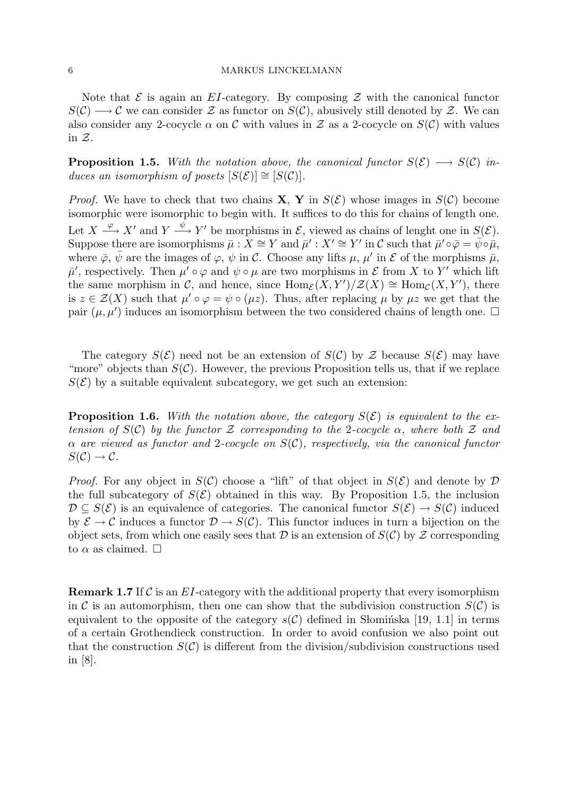Note that  $\mathcal E$  is again an EI-category. By composing  $\mathcal Z$  with the canonical functor  $S(\mathcal{C}) \longrightarrow \mathcal{C}$  we can consider Z as functor on  $S(\mathcal{C})$ , abusively still denoted by Z. We can also consider any 2-cocycle  $\alpha$  on C with values in Z as a 2-cocycle on  $S(\mathcal{C})$  with values in  $Z$ .

**Proposition 1.5.** With the notation above, the canonical functor  $S(\mathcal{E}) \longrightarrow S(\mathcal{C})$  induces an isomorphism of posets  $[S(\mathcal{E})] \cong [S(\mathcal{C})]$ .

*Proof.* We have to check that two chains **X**, **Y** in  $S(\mathcal{E})$  whose images in  $S(\mathcal{C})$  become isomorphic were isomorphic to begin with. It suffices to do this for chains of length one. Let  $X \stackrel{\varphi}{\longrightarrow} X'$  and  $Y \stackrel{\psi}{\longrightarrow} Y'$  be morphisms in  $\mathcal{E}$ , viewed as chains of lenght one in  $S(\mathcal{E})$ . Suppose there are isomorphisms  $\bar{\mu}$  :  $X \cong Y$  and  $\bar{\mu}' : X' \cong Y'$  in  $\mathcal C$  such that  $\bar{\mu}' \circ \bar{\varphi} = \bar{\psi} \circ \bar{\mu}$ , where  $\bar{\varphi}$ ,  $\bar{\psi}$  are the images of  $\varphi$ ,  $\psi$  in C. Choose any lifts  $\mu$ ,  $\mu'$  in E of the morphisms  $\bar{\mu}$ ,  $\bar{\mu}'$ , respectively. Then  $\mu' \circ \varphi$  and  $\psi \circ \mu$  are two morphisms in  $\mathcal E$  from X to Y' which lift the same morphism in C, and hence, since  $\text{Hom}_{\mathcal{E}}(X, Y')\big/\mathcal{Z}(X) \cong \text{Hom}_{\mathcal{C}}(X, Y')$ , there is  $z \in \mathcal{Z}(X)$  such that  $\mu' \circ \varphi = \psi \circ (\mu z)$ . Thus, after replacing  $\mu$  by  $\mu z$  we get that the pair  $(\mu, \mu')$  induces an isomorphism between the two considered chains of length one.  $\Box$ 

The category  $S(\mathcal{E})$  need not be an extension of  $S(\mathcal{C})$  by  $\mathcal{Z}$  because  $S(\mathcal{E})$  may have "more" objects than  $S(\mathcal{C})$ . However, the previous Proposition tells us, that if we replace  $S(\mathcal{E})$  by a suitable equivalent subcategory, we get such an extension:

**Proposition 1.6.** With the notation above, the category  $S(\mathcal{E})$  is equivalent to the extension of  $S(\mathcal{C})$  by the functor Z corresponding to the 2-cocycle  $\alpha$ , where both Z and  $\alpha$  are viewed as functor and 2-cocycle on  $S(\mathcal{C})$ , respectively, via the canonical functor  $S(\mathcal{C}) \to \mathcal{C}.$ 

*Proof.* For any object in  $S(\mathcal{C})$  choose a "lift" of that object in  $S(\mathcal{E})$  and denote by  $\mathcal D$ the full subcategory of  $S(\mathcal{E})$  obtained in this way. By Proposition 1.5, the inclusion  $\mathcal{D} \subseteq S(\mathcal{E})$  is an equivalence of categories. The canonical functor  $S(\mathcal{E}) \to S(\mathcal{C})$  induced by  $\mathcal{E} \to \mathcal{C}$  induces a functor  $\mathcal{D} \to S(\mathcal{C})$ . This functor induces in turn a bijection on the object sets, from which one easily sees that  $D$  is an extension of  $S(\mathcal{C})$  by  $\mathcal Z$  corresponding to  $\alpha$  as claimed.  $\square$ 

**Remark 1.7** If C is an  $EI$ -category with the additional property that every isomorphism in C is an automorphism, then one can show that the subdivision construction  $S(\mathcal{C})$  is equivalent to the opposite of the category  $s(\mathcal{C})$  defined in S lomings [19, 1.1] in terms of a certain Grothendieck construction. In order to avoid confusion we also point out that the construction  $S(\mathcal{C})$  is different from the division/subdivision constructions used in [8].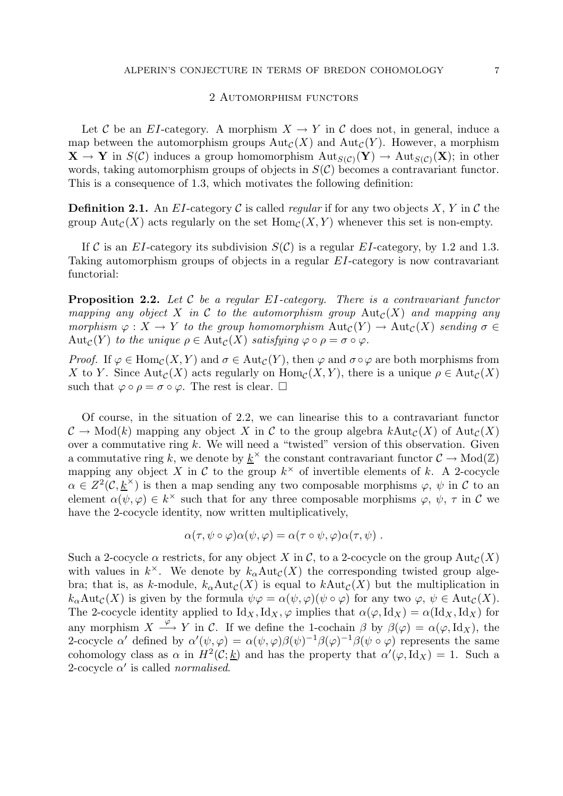#### 2 Automorphism functors

Let C be an EI-category. A morphism  $X \to Y$  in C does not, in general, induce a map between the automorphism groups  $Aut_{\mathcal{C}}(X)$  and  $Aut_{\mathcal{C}}(Y)$ . However, a morphism  $X \to Y$  in  $S(\mathcal{C})$  induces a group homomorphism  $\text{Aut}_{S(\mathcal{C})}(Y) \to \text{Aut}_{S(\mathcal{C})}(X)$ ; in other words, taking automorphism groups of objects in  $S(\mathcal{C})$  becomes a contravariant functor. This is a consequence of 1.3, which motivates the following definition:

**Definition 2.1.** An EI-category C is called *regular* if for any two objects X, Y in C the group Aut<sub>C</sub>(X) acts regularly on the set  $\text{Hom}_{\mathcal{C}}(X, Y)$  whenever this set is non-empty.

If C is an EI-category its subdivision  $S(\mathcal{C})$  is a regular EI-category, by 1.2 and 1.3. Taking automorphism groups of objects in a regular EI-category is now contravariant functorial:

**Proposition 2.2.** Let C be a regular EI-category. There is a contravariant functor mapping any object X in C to the automorphism group  $Aut_{\mathcal{C}}(X)$  and mapping any morphism  $\varphi: X \to Y$  to the group homomorphism  $\text{Aut}_{\mathcal{C}}(Y) \to \text{Aut}_{\mathcal{C}}(X)$  sending  $\sigma \in$ Aut<sub>C</sub>(Y) to the unique  $\rho \in \text{Aut}_{\mathcal{C}}(X)$  satisfying  $\varphi \circ \rho = \sigma \circ \varphi$ .

*Proof.* If  $\varphi \in \text{Hom}_{\mathcal{C}}(X, Y)$  and  $\sigma \in \text{Aut}_{\mathcal{C}}(Y)$ , then  $\varphi$  and  $\sigma \circ \varphi$  are both morphisms from X to Y. Since Aut<sub>C</sub>(X) acts regularly on  $\text{Hom}_{\mathcal{C}}(X, Y)$ , there is a unique  $\rho \in \text{Aut}_{\mathcal{C}}(X)$ such that  $\varphi \circ \rho = \sigma \circ \varphi$ . The rest is clear.  $\square$ 

Of course, in the situation of 2.2, we can linearise this to a contravariant functor  $\mathcal{C} \to \text{Mod}(k)$  mapping any object X in C to the group algebra  $k\text{Aut}_{\mathcal{C}}(X)$  of  $\text{Aut}_{\mathcal{C}}(X)$ over a commutative ring  $k$ . We will need a "twisted" version of this observation. Given a commutative ring k, we denote by  $\underline{k}^{\times}$  the constant contravariant functor  $C \to \text{Mod}(\mathbb{Z})$ mapping any object X in C to the group  $k^{\times}$  of invertible elements of k. A 2-cocycle  $\alpha \in Z^2(\mathcal{C},\underline{k}^{\times})$  is then a map sending any two composable morphisms  $\varphi, \psi$  in C to an element  $\alpha(\psi, \varphi) \in k^{\times}$  such that for any three composable morphisms  $\varphi, \psi, \tau$  in C we have the 2-cocycle identity, now written multiplicatively,

$$
\alpha(\tau, \psi \circ \varphi) \alpha(\psi, \varphi) = \alpha(\tau \circ \psi, \varphi) \alpha(\tau, \psi) .
$$

Such a 2-cocycle  $\alpha$  restricts, for any object X in C, to a 2-cocycle on the group  $Aut_{\mathcal{C}}(X)$ with values in  $k^{\times}$ . We denote by  $k_{\alpha} \text{Aut}_{\mathcal{C}}(X)$  the corresponding twisted group algebra; that is, as k-module,  $k_{\alpha}Aut_{\mathcal{C}}(X)$  is equal to  $kAut_{\mathcal{C}}(X)$  but the multiplication in  $k_{\alpha}Aut_{\mathcal{C}}(X)$  is given by the formula  $\psi \varphi = \alpha(\psi, \varphi)(\psi \circ \varphi)$  for any two  $\varphi, \psi \in Aut_{\mathcal{C}}(X)$ . The 2-cocycle identity applied to  $Id_X, Id_X, \varphi$  implies that  $\alpha(\varphi, Id_X) = \alpha(Id_X, Id_X)$  for any morphism  $X \stackrel{\varphi}{\longrightarrow} Y$  in C. If we define the 1-cochain  $\beta$  by  $\beta(\varphi) = \alpha(\varphi, \text{Id}_X)$ , the 2-cocycle  $\alpha'$  defined by  $\alpha'(\psi,\varphi) = \alpha(\psi,\varphi)\beta(\psi)^{-1}\beta(\varphi)^{-1}\beta(\psi \circ \varphi)$  represents the same cohomology class as  $\alpha$  in  $H^2(\mathcal{C}; \underline{k})$  and has the property that  $\alpha'(\varphi, \mathrm{Id}_X) = 1$ . Such a 2-cocycle  $\alpha'$  is called *normalised*.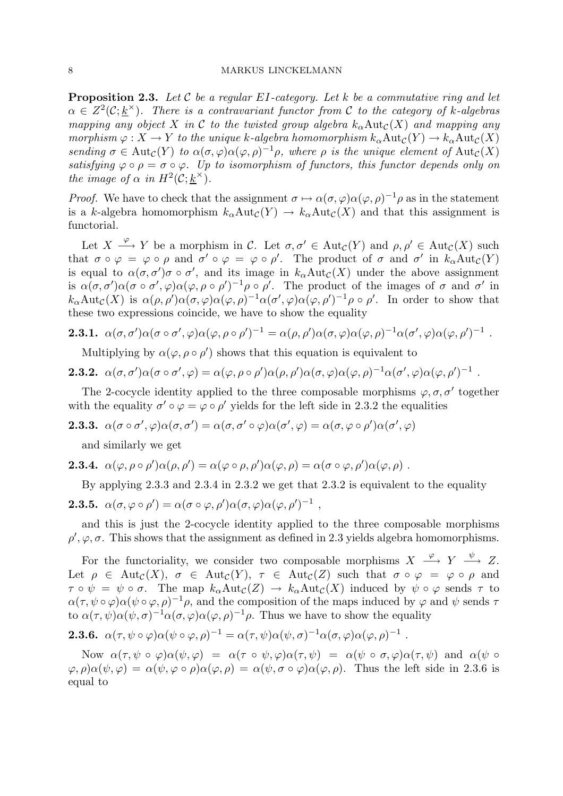**Proposition 2.3.** Let C be a regular EI-category. Let k be a commutative ring and let  $\alpha \in Z^2(\mathcal{C}; {\underline{k}}^{\times})$ . There is a contravariant functor from C to the category of k-algebras mapping any object X in C to the twisted group algebra  $k_{\alpha} \text{Aut}_{\mathcal{C}}(X)$  and mapping any morphism  $\varphi: X \to Y$  to the unique k-algebra homomorphism  $k_{\alpha} \text{Aut}_{\mathcal{C}}(Y) \to k_{\alpha} \text{Aut}_{\mathcal{C}}(X)$ sending  $\sigma \in \text{Aut}_{\mathcal{C}}(Y)$  to  $\alpha(\sigma, \varphi) \alpha(\varphi, \rho)^{-1} \rho$ , where  $\rho$  is the unique element of  $\text{Aut}_{\mathcal{C}}(X)$ satisfying  $\varphi \circ \rho = \sigma \circ \varphi$ . Up to isomorphism of functors, this functor depends only on the image of  $\alpha$  in  $H^2(\mathcal{C}; \underline{k}^\times)$ .

*Proof.* We have to check that the assignment  $\sigma \mapsto \alpha(\sigma, \varphi) \alpha(\varphi, \rho)^{-1} \rho$  as in the statement is a k-algebra homomorphism  $k_{\alpha}Aut_{\mathcal{C}}(Y) \to k_{\alpha}Aut_{\mathcal{C}}(X)$  and that this assignment is functorial.

Let  $X \stackrel{\varphi}{\longrightarrow} Y$  be a morphism in C. Let  $\sigma, \sigma' \in \text{Aut}_{\mathcal{C}}(Y)$  and  $\rho, \rho' \in \text{Aut}_{\mathcal{C}}(X)$  such that  $\sigma \circ \varphi = \varphi \circ \rho$  and  $\sigma' \circ \varphi = \varphi \circ \rho'$ . The product of  $\sigma$  and  $\sigma'$  in  $k_{\alpha} \text{Aut}_{\mathcal{C}}(Y)$ is equal to  $\alpha(\sigma, \sigma')\sigma \circ \sigma'$ , and its image in  $k_{\alpha} \text{Aut}_{\mathcal{C}}(X)$  under the above assignment is  $\alpha(\sigma, \sigma')\alpha(\sigma \circ \sigma', \varphi)\alpha(\varphi, \rho \circ \rho')^{-1}\rho \circ \rho'$ . The product of the images of  $\sigma$  and  $\sigma'$  in  $k_{\alpha}Aut_{\mathcal{C}}(X)$  is  $\alpha(\rho, \rho')\alpha(\sigma, \varphi)\alpha(\varphi, \rho)^{-1}\alpha(\sigma', \varphi)\alpha(\varphi, \rho')^{-1}\rho \circ \rho'.$  In order to show that these two expressions coincide, we have to show the equality

**2.3.1.** 
$$
\alpha(\sigma, \sigma')\alpha(\sigma \circ \sigma', \varphi)\alpha(\varphi, \rho \circ \rho')^{-1} = \alpha(\rho, \rho')\alpha(\sigma, \varphi)\alpha(\varphi, \rho)^{-1}\alpha(\sigma', \varphi)\alpha(\varphi, \rho')^{-1}
$$
.

Multiplying by  $\alpha(\varphi, \rho \circ \rho')$  shows that this equation is equivalent to

**2.3.2.** 
$$
\alpha(\sigma, \sigma')\alpha(\sigma \circ \sigma', \varphi) = \alpha(\varphi, \rho \circ \rho')\alpha(\rho, \rho')\alpha(\sigma, \varphi)\alpha(\varphi, \rho)^{-1}\alpha(\sigma', \varphi)\alpha(\varphi, \rho')^{-1}
$$
.

The 2-cocycle identity applied to the three composable morphisms  $\varphi, \sigma, \sigma'$  together with the equality  $\sigma' \circ \varphi = \varphi \circ \rho'$  yields for the left side in 2.3.2 the equalities

**2.3.3.**  $\alpha(\sigma \circ \sigma', \varphi) \alpha(\sigma, \sigma') = \alpha(\sigma, \sigma' \circ \varphi) \alpha(\sigma', \varphi) = \alpha(\sigma, \varphi \circ \rho') \alpha(\sigma', \varphi)$ 

and similarly we get

**2.3.4.** 
$$
\alpha(\varphi, \rho \circ \rho')\alpha(\rho, \rho') = \alpha(\varphi \circ \rho, \rho')\alpha(\varphi, \rho) = \alpha(\sigma \circ \varphi, \rho')\alpha(\varphi, \rho)
$$
.

By applying 2.3.3 and 2.3.4 in 2.3.2 we get that 2.3.2 is equivalent to the equality

**2.3.5.** 
$$
\alpha(\sigma, \varphi \circ \rho') = \alpha(\sigma \circ \varphi, \rho')\alpha(\sigma, \varphi)\alpha(\varphi, \rho')^{-1}
$$
,

and this is just the 2-cocycle identity applied to the three composable morphisms  $\rho', \varphi, \sigma$ . This shows that the assignment as defined in 2.3 yields algebra homomorphisms.

For the functoriality, we consider two composable morphisms  $X \xrightarrow{\varphi} Y \xrightarrow{\psi} Z$ . Let  $\rho \in \text{Aut}_{\mathcal{C}}(X), \sigma \in \text{Aut}_{\mathcal{C}}(Y), \tau \in \text{Aut}_{\mathcal{C}}(Z)$  such that  $\sigma \circ \varphi = \varphi \circ \rho$  and  $\tau \circ \psi = \psi \circ \sigma$ . The map  $k_{\alpha} \text{Aut}_{\mathcal{C}}(Z) \to k_{\alpha} \text{Aut}_{\mathcal{C}}(X)$  induced by  $\psi \circ \varphi$  sends  $\tau$  to  $\alpha(\tau, \psi \circ \varphi) \alpha(\psi \circ \varphi, \rho)^{-1} \rho$ , and the composition of the maps induced by  $\varphi$  and  $\psi$  sends  $\tau$ to  $\alpha(\tau,\psi)\alpha(\psi,\sigma)^{-1}\alpha(\sigma,\varphi)\alpha(\varphi,\rho)^{-1}\rho$ . Thus we have to show the equality

**2.3.6.** 
$$
\alpha(\tau, \psi \circ \varphi) \alpha(\psi \circ \varphi, \rho)^{-1} = \alpha(\tau, \psi) \alpha(\psi, \sigma)^{-1} \alpha(\sigma, \varphi) \alpha(\varphi, \rho)^{-1}
$$
.

Now  $\alpha(\tau, \psi \circ \varphi) \alpha(\psi, \varphi) = \alpha(\tau \circ \psi, \varphi) \alpha(\tau, \psi) = \alpha(\psi \circ \sigma, \varphi) \alpha(\tau, \psi)$  and  $\alpha(\psi \circ \varphi)$  $\varphi, \rho, \alpha(\psi, \varphi) = \alpha(\psi, \varphi \circ \rho) \alpha(\varphi, \rho) = \alpha(\psi, \sigma \circ \varphi) \alpha(\varphi, \rho)$ . Thus the left side in 2.3.6 is equal to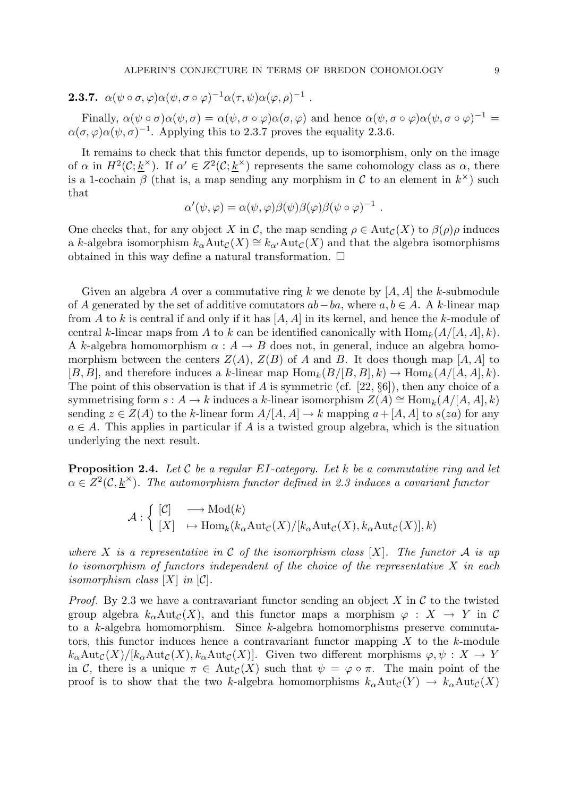**2.3.7.** 
$$
\alpha(\psi \circ \sigma, \varphi) \alpha(\psi, \sigma \circ \varphi)^{-1} \alpha(\tau, \psi) \alpha(\varphi, \rho)^{-1}
$$
.

Finally,  $\alpha(\psi \circ \sigma) \alpha(\psi, \sigma) = \alpha(\psi, \sigma \circ \varphi) \alpha(\sigma, \varphi)$  and hence  $\alpha(\psi, \sigma \circ \varphi) \alpha(\psi, \sigma \circ \varphi)^{-1} =$  $\alpha(\sigma, \varphi) \alpha(\psi, \sigma)^{-1}$ . Applying this to 2.3.7 proves the equality 2.3.6.

It remains to check that this functor depends, up to isomorphism, only on the image of  $\alpha$  in  $H^2(\mathcal{C}; \underline{k}^\times)$ . If  $\alpha' \in Z^2(\mathcal{C}; \underline{k}^\times)$  represents the same cohomology class as  $\alpha$ , there is a 1-cochain  $\beta$  (that is, a map sending any morphism in C to an element in  $k^{\times}$ ) such that

$$
\alpha'(\psi,\varphi) = \alpha(\psi,\varphi)\beta(\psi)\beta(\varphi)\beta(\psi\circ\varphi)^{-1} .
$$

One checks that, for any object X in C, the map sending  $\rho \in \text{Aut}_{\mathcal{C}}(X)$  to  $\beta(\rho)\rho$  induces a k-algebra isomorphism  $k_{\alpha} \text{Aut}_{\mathcal{C}}(X) \cong k_{\alpha'} \text{Aut}_{\mathcal{C}}(X)$  and that the algebra isomorphisms obtained in this way define a natural transformation.  $\Box$ 

Given an algebra A over a commutative ring k we denote by  $[A, A]$  the k-submodule of A generated by the set of additive comutators  $ab-ba$ , where  $a, b \in A$ . A k-linear map from A to k is central if and only if it has  $[A, A]$  in its kernel, and hence the k-module of central k-linear maps from A to k can be identified canonically with  $\text{Hom}_k(A/[A, A], k)$ . A k-algebra homomorphism  $\alpha : A \to B$  does not, in general, induce an algebra homomorphism between the centers  $Z(A)$ ,  $Z(B)$  of A and B. It does though map [A, A] to  $[B, B]$ , and therefore induces a k-linear map  $\text{Hom}_k(B/[B, B], k) \to \text{Hom}_k(A/[A, A], k)$ . The point of this observation is that if A is symmetric (cf.  $[22, \S6]$ ), then any choice of a symmetrising form  $s: A \to k$  induces a k-linear isomorphism  $Z(A) \cong \text{Hom}_k(A/[A, A], k)$ sending  $z \in Z(A)$  to the k-linear form  $A/[A, A] \to k$  mapping  $a + [A, A]$  to  $s(za)$  for any  $a \in A$ . This applies in particular if A is a twisted group algebra, which is the situation underlying the next result.

**Proposition 2.4.** Let C be a regular EI-category. Let k be a commutative ring and let  $\alpha \in Z^2(\mathcal{C},\underline{k}^{\times})$ . The automorphism functor defined in 2.3 induces a covariant functor

$$
\mathcal{A}: \left\{ \begin{array}{ll} [\mathcal{C}] & \longrightarrow \mathrm{Mod}(k) \\ [X] & \mapsto \mathrm{Hom}_k(k_\alpha\mathrm{Aut}_\mathcal{C}(X)/[k_\alpha\mathrm{Aut}_\mathcal{C}(X),k_\alpha\mathrm{Aut}_\mathcal{C}(X)], k) \end{array} \right.
$$

where X is a representative in C of the isomorphism class  $[X]$ . The functor A is up to isomorphism of functors independent of the choice of the representative X in each isomorphism class  $[X]$  in  $[\mathcal{C}]$ .

*Proof.* By 2.3 we have a contravariant functor sending an object X in C to the twisted group algebra  $k_{\alpha} \text{Aut}_{\mathcal{C}}(X)$ , and this functor maps a morphism  $\varphi : X \to Y$  in C to a k-algebra homomorphism. Since k-algebra homomorphisms preserve commutators, this functor induces hence a contravariant functor mapping  $X$  to the  $k$ -module  $k_{\alpha}Aut_{\mathcal{C}}(X)/[k_{\alpha}Aut_{\mathcal{C}}(X), k_{\alpha}Aut_{\mathcal{C}}(X)].$  Given two different morphisms  $\varphi, \psi : X \to Y$ in C, there is a unique  $\pi \in Aut_{\mathcal{C}}(X)$  such that  $\psi = \varphi \circ \pi$ . The main point of the proof is to show that the two k-algebra homomorphisms  $k_{\alpha}Aut_{\mathcal{C}}(Y) \to k_{\alpha}Aut_{\mathcal{C}}(X)$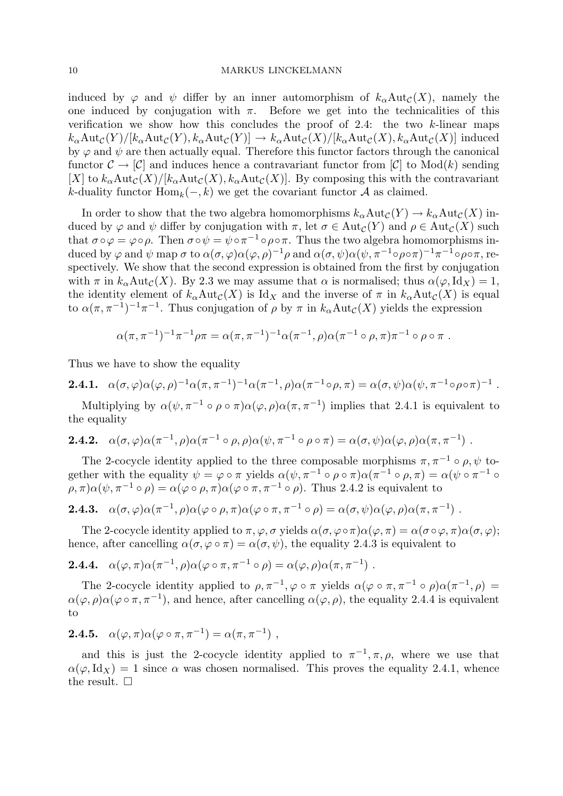induced by  $\varphi$  and  $\psi$  differ by an inner automorphism of  $k_{\alpha}Aut_{\mathcal{C}}(X)$ , namely the one induced by conjugation with  $\pi$ . Before we get into the technicalities of this verification we show how this concludes the proof of 2.4: the two k-linear maps  $k_{\alpha}Aut_{\mathcal{C}}(Y)/[k_{\alpha}\text{Aut}_{\mathcal{C}}(Y), k_{\alpha}\text{Aut}_{\mathcal{C}}(Y)] \to k_{\alpha}\text{Aut}_{\mathcal{C}}(X)/[k_{\alpha}\text{Aut}_{\mathcal{C}}(X), k_{\alpha}\text{Aut}_{\mathcal{C}}(X)]$  induced by  $\varphi$  and  $\psi$  are then actually equal. Therefore this functor factors through the canonical functor  $\mathcal{C} \to [\mathcal{C}]$  and induces hence a contravariant functor from  $[\mathcal{C}]$  to Mod(k) sending [X] to  $k_{\alpha}Aut_{\mathcal{C}}(X)/[k_{\alpha}Aut_{\mathcal{C}}(X), k_{\alpha}Aut_{\mathcal{C}}(X)]$ . By composing this with the contravariant k-duality functor  $\text{Hom}_k(-,k)$  we get the covariant functor A as claimed.

In order to show that the two algebra homomorphisms  $k_{\alpha}Aut_{\mathcal{C}}(Y) \to k_{\alpha}Aut_{\mathcal{C}}(X)$  induced by  $\varphi$  and  $\psi$  differ by conjugation with  $\pi$ , let  $\sigma \in \text{Aut}_{\mathcal{C}}(Y)$  and  $\rho \in \text{Aut}_{\mathcal{C}}(X)$  such that  $\sigma \circ \varphi = \varphi \circ \rho$ . Then  $\sigma \circ \psi = \psi \circ \pi^{-1} \circ \rho \circ \pi$ . Thus the two algebra homomorphisms induced by  $\varphi$  and  $\psi$  map  $\sigma$  to  $\alpha(\sigma,\varphi)\alpha(\varphi,\rho)^{-1}\rho$  and  $\alpha(\sigma,\psi)\alpha(\psi,\pi^{-1}\circ\rho\circ\pi)^{-1}\pi^{-1}\circ\rho\circ\pi,$  respectively. We show that the second expression is obtained from the first by conjugation with  $\pi$  in  $k_{\alpha}$ Aut<sub>C</sub>(X). By 2.3 we may assume that  $\alpha$  is normalised; thus  $\alpha(\varphi, \text{Id}_X) = 1$ , the identity element of  $k_{\alpha}Aut_{\mathcal{C}}(X)$  is Id<sub>X</sub> and the inverse of  $\pi$  in  $k_{\alpha}Aut_{\mathcal{C}}(X)$  is equal to  $\alpha(\pi, \pi^{-1})^{-1}\pi^{-1}$ . Thus conjugation of  $\rho$  by  $\pi$  in  $k_{\alpha}$ Aut $_{\mathcal{C}}(X)$  yields the expression

$$
\alpha(\pi, \pi^{-1})^{-1} \pi^{-1} \rho \pi = \alpha(\pi, \pi^{-1})^{-1} \alpha(\pi^{-1}, \rho) \alpha(\pi^{-1} \circ \rho, \pi) \pi^{-1} \circ \rho \circ \pi.
$$

Thus we have to show the equality

**2.4.1.** 
$$
\alpha(\sigma,\varphi)\alpha(\varphi,\rho)^{-1}\alpha(\pi,\pi^{-1})^{-1}\alpha(\pi^{-1},\rho)\alpha(\pi^{-1}\circ\rho,\pi) = \alpha(\sigma,\psi)\alpha(\psi,\pi^{-1}\circ\rho\circ\pi)^{-1}.
$$

Multiplying by  $\alpha(\psi, \pi^{-1} \circ \rho \circ \pi) \alpha(\varphi, \rho) \alpha(\pi, \pi^{-1})$  implies that 2.4.1 is equivalent to the equality

**2.4.2.** 
$$
\alpha(\sigma,\varphi)\alpha(\pi^{-1},\rho)\alpha(\pi^{-1}\circ\rho,\rho)\alpha(\psi,\pi^{-1}\circ\rho\circ\pi) = \alpha(\sigma,\psi)\alpha(\varphi,\rho)\alpha(\pi,\pi^{-1})
$$
.

The 2-cocycle identity applied to the three composable morphisms  $\pi, \pi^{-1} \circ \rho, \psi$  together with the equality  $\psi = \varphi \circ \pi$  yields  $\alpha(\psi, \pi^{-1} \circ \rho \circ \pi) \alpha(\pi^{-1} \circ \rho, \pi) = \alpha(\psi \circ \pi^{-1} \circ \rho \circ \pi)$  $(\rho, \pi) \alpha(\psi, \pi^{-1} \circ \rho) = \alpha(\varphi \circ \rho, \pi) \alpha(\varphi \circ \pi, \pi^{-1} \circ \rho)$ . Thus 2.4.2 is equivalent to

**2.4.3.** 
$$
\alpha(\sigma, \varphi)\alpha(\pi^{-1}, \rho)\alpha(\varphi \circ \rho, \pi)\alpha(\varphi \circ \pi, \pi^{-1} \circ \rho) = \alpha(\sigma, \psi)\alpha(\varphi, \rho)\alpha(\pi, \pi^{-1})
$$
.

The 2-cocycle identity applied to  $\pi, \varphi, \sigma$  yields  $\alpha(\sigma, \varphi \circ \pi) \alpha(\varphi, \pi) = \alpha(\sigma \circ \varphi, \pi) \alpha(\sigma, \varphi)$ ; hence, after cancelling  $\alpha(\sigma, \varphi \circ \pi) = \alpha(\sigma, \psi)$ , the equality 2.4.3 is equivalent to

**2.4.4.** 
$$
\alpha(\varphi, \pi) \alpha(\pi^{-1}, \rho) \alpha(\varphi \circ \pi, \pi^{-1} \circ \rho) = \alpha(\varphi, \rho) \alpha(\pi, \pi^{-1})
$$
.

The 2-cocycle identity applied to  $\rho, \pi^{-1}, \varphi \circ \pi$  yields  $\alpha(\varphi \circ \pi, \pi^{-1} \circ \rho) \alpha(\pi^{-1}, \rho) =$  $\alpha(\varphi,\rho)\alpha(\varphi\circ\pi,\pi^{-1}),$  and hence, after cancelling  $\alpha(\varphi,\rho)$ , the equality 2.4.4 is equivalent to

$$
2.4.5. \quad \alpha(\varphi, \pi) \alpha(\varphi \circ \pi, \pi^{-1}) = \alpha(\pi, \pi^{-1}) ,
$$

and this is just the 2-cocycle identity applied to  $\pi^{-1}, \pi, \rho$ , where we use that  $\alpha(\varphi, \text{Id}_X) = 1$  since  $\alpha$  was chosen normalised. This proves the equality 2.4.1, whence the result.  $\square$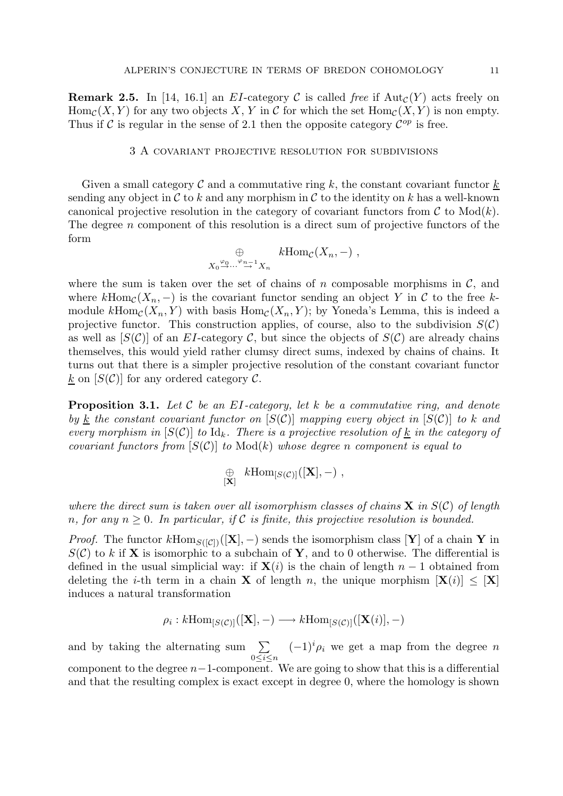**Remark 2.5.** In [14, 16.1] an EI-category C is called free if  $\text{Aut}_{\mathcal{C}}(Y)$  acts freely on  $\text{Hom}_{\mathcal{C}}(X, Y)$  for any two objects X, Y in C for which the set  $\text{Hom}_{\mathcal{C}}(X, Y)$  is non empty. Thus if C is regular in the sense of 2.1 then the opposite category  $\mathcal{C}^{op}$  is free.

#### 3 A covariant projective resolution for subdivisions

Given a small category  $\mathcal C$  and a commutative ring  $k$ , the constant covariant functor  $k$ sending any object in  $\mathcal C$  to k and any morphism in  $\mathcal C$  to the identity on k has a well-known canonical projective resolution in the category of covariant functors from  $\mathcal C$  to  $\text{Mod}(k)$ . The degree  $n$  component of this resolution is a direct sum of projective functors of the form

$$
\bigoplus_{X_0 \stackrel{\varphi_0}{\to} \cdots \stackrel{\varphi_{n-1}}{\to} X_n} k \text{Hom}_{\mathcal{C}}(X_n, -) ,
$$

where the sum is taken over the set of chains of n composable morphisms in  $\mathcal{C}$ , and where  $k\text{Hom}_{\mathcal{C}}(X_n, -)$  is the covariant functor sending an object Y in C to the free kmodule  $k\text{Hom}_{\mathcal{C}}(X_n, Y)$  with basis  $\text{Hom}_{\mathcal{C}}(X_n, Y)$ ; by Yoneda's Lemma, this is indeed a projective functor. This construction applies, of course, also to the subdivision  $S(\mathcal{C})$ as well as  $[S(\mathcal{C})]$  of an EI-category  $\mathcal{C}$ , but since the objects of  $S(\mathcal{C})$  are already chains themselves, this would yield rather clumsy direct sums, indexed by chains of chains. It turns out that there is a simpler projective resolution of the constant covariant functor  $\underline{k}$  on  $[S(\mathcal{C})]$  for any ordered category  $\mathcal{C}$ .

**Proposition 3.1.** Let C be an EI-category, let k be a commutative ring, and denote by k the constant covariant functor on  $[S(\mathcal{C})]$  mapping every object in  $[S(\mathcal{C})]$  to k and every morphism in  $[S(\mathcal{C})]$  to  $\mathrm{Id}_k$ . There is a projective resolution of <u>k</u> in the category of covariant functors from  $[S(\mathcal{C})]$  to  $\text{Mod}(k)$  whose degree n component is equal to

$$
\mathop{\oplus}_{{[\mathbf{X}]}} k\mathrm{Hom}_{[S(\mathcal{C})]}([\mathbf{X}],-),
$$

where the direct sum is taken over all isomorphism classes of chains  $X$  in  $S(\mathcal{C})$  of length n, for any  $n \geq 0$ . In particular, if C is finite, this projective resolution is bounded.

*Proof.* The functor  $k\text{Hom}_{S([\mathcal{C}])}([\mathbf{X}], -)$  sends the isomorphism class [Y] of a chain Y in  $S(\mathcal{C})$  to k if **X** is isomorphic to a subchain of **Y**, and to 0 otherwise. The differential is defined in the usual simplicial way: if  $X(i)$  is the chain of length  $n-1$  obtained from deleting the *i*-th term in a chain **X** of length n, the unique morphism  $[\mathbf{X}(i)] \leq [\mathbf{X}]$ induces a natural transformation

$$
\rho_i: k\mathrm{Hom}_{[S(\mathcal{C})]}([\mathbf{X}], -) \longrightarrow k\mathrm{Hom}_{[S(\mathcal{C})]}([\mathbf{X}(i)], -)
$$

and by taking the alternating sum  $\Sigma$  $0\leq i\leq n$  $(-1)^i \rho_i$  we get a map from the degree n component to the degree  $n-1$ -component. We are going to show that this is a differential and that the resulting complex is exact except in degree 0, where the homology is shown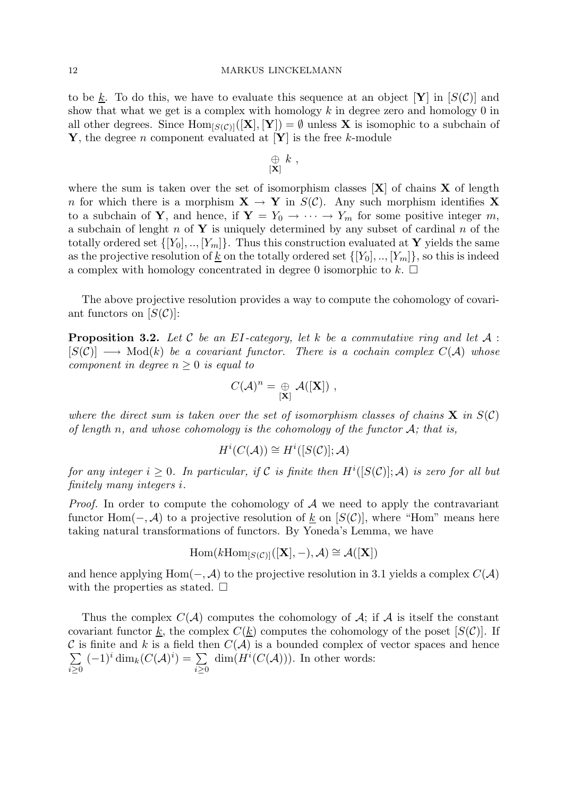to be k. To do this, we have to evaluate this sequence at an object  $[Y]$  in  $[S(\mathcal{C})]$  and show that what we get is a complex with homology  $k$  in degree zero and homology 0 in all other degrees. Since  $\text{Hom}_{[S(\mathcal{C})]}([\mathbf{X}], [\mathbf{Y}]) = \emptyset$  unless **X** is isomophic to a subchain of Y, the degree *n* component evaluated at  $[Y]$  is the free k-module

$$
\mathop{\oplus}\limits_{[{\bf X}]} k \ ,
$$

where the sum is taken over the set of isomorphism classes  $[X]$  of chains X of length n for which there is a morphism  $X \to Y$  in  $S(\mathcal{C})$ . Any such morphism identifies X to a subchain of Y, and hence, if  $Y = Y_0 \rightarrow \cdots \rightarrow Y_m$  for some positive integer m, a subchain of lenght n of Y is uniquely determined by any subset of cardinal n of the totally ordered set  $\{[Y_0], ..., [Y_m]\}$ . Thus this construction evaluated at Y yields the same as the projective resolution of <u>k</u> on the totally ordered set  $\{[Y_0], ..., [Y_m]\}$ , so this is indeed a complex with homology concentrated in degree 0 isomorphic to  $k$ .  $\Box$ 

The above projective resolution provides a way to compute the cohomology of covariant functors on  $|S(\mathcal{C})|$ :

**Proposition 3.2.** Let C be an EI-category, let k be a commutative ring and let  $A$ :  $[S(\mathcal{C})] \longrightarrow \text{Mod}(k)$  be a covariant functor. There is a cochain complex  $C(\mathcal{A})$  whose component in degree  $n \geq 0$  is equal to

$$
C(\mathcal{A})^n = \underset{[\mathbf{X}]}{\oplus} \mathcal{A}([\mathbf{X}]) ,
$$

where the direct sum is taken over the set of isomorphism classes of chains  $X$  in  $S(\mathcal{C})$ of length n, and whose cohomology is the cohomology of the functor  $A$ ; that is,

$$
H^i(C(\mathcal{A})) \cong H^i([S(\mathcal{C})]; \mathcal{A})
$$

for any integer  $i \geq 0$ . In particular, if C is finite then  $H^i([S(\mathcal{C})];\mathcal{A})$  is zero for all but finitely many integers i.

*Proof.* In order to compute the cohomology of  $A$  we need to apply the contravariant functor Hom( $\mathcal{-}, \mathcal{A}$ ) to a projective resolution of k on [S(C)], where "Hom" means here taking natural transformations of functors. By Yoneda's Lemma, we have

$$
\mathrm{Hom}(k\mathrm{Hom}_{[S(\mathcal{C})]}([\mathbf{X}], -), \mathcal{A}) \cong \mathcal{A}([\mathbf{X}])
$$

and hence applying Hom( $-, \mathcal{A}$ ) to the projective resolution in 3.1 yields a complex  $C(\mathcal{A})$ with the properties as stated.  $\square$ 

Thus the complex  $C(A)$  computes the cohomology of A; if A is itself the constant covariant functor k, the complex  $C(k)$  computes the cohomology of the poset  $[S(\mathcal{C})]$ . If C is finite and k is a field then  $C(\mathcal{A})$  is a bounded complex of vector spaces and hence  $\sum$  $i\geq 0$  $(-1)^i \dim_k(C(\mathcal{A})^i) = \sum$  $i \geq 0$  $\dim(H^i(C(\mathcal{A})))$ . In other words: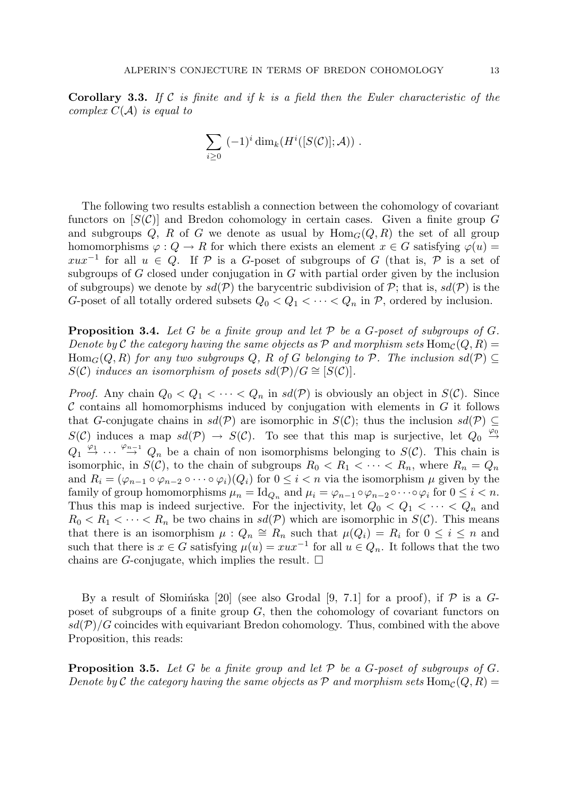**Corollary 3.3.** If C is finite and if k is a field then the Euler characteristic of the complex  $C(A)$  is equal to

$$
\sum_{i\geq 0} (-1)^i \dim_k(H^i([S(\mathcal{C})];\mathcal{A})) .
$$

The following two results establish a connection between the cohomology of covariant functors on  $[S(\mathcal{C})]$  and Bredon cohomology in certain cases. Given a finite group G and subgroups Q, R of G we denote as usual by  $\text{Hom}_G(Q, R)$  the set of all group homomorphisms  $\varphi: Q \to R$  for which there exists an element  $x \in G$  satisfying  $\varphi(u) =$  $xux^{-1}$  for all  $u \in Q$ . If P is a G-poset of subgroups of G (that is, P is a set of subgroups of  $G$  closed under conjugation in  $G$  with partial order given by the inclusion of subgroups) we denote by  $sd(\mathcal{P})$  the barycentric subdivision of  $\mathcal{P}$ ; that is,  $sd(\mathcal{P})$  is the G-poset of all totally ordered subsets  $Q_0 < Q_1 < \cdots < Q_n$  in P, ordered by inclusion.

**Proposition 3.4.** Let G be a finite group and let P be a G-poset of subgroups of G. Denote by C the category having the same objects as P and morphism sets  $\text{Hom}_{\mathcal{C}}(Q, R)$  =  $\text{Hom}_G(Q, R)$  for any two subgroups Q, R of G belonging to P. The inclusion  $sd(P) \subseteq$  $S(\mathcal{C})$  induces an isomorphism of posets sd(P)/ $G \cong [S(\mathcal{C})]$ .

*Proof.* Any chain  $Q_0 < Q_1 < \cdots < Q_n$  in  $sd(\mathcal{P})$  is obviously an object in  $S(\mathcal{C})$ . Since  $\mathcal C$  contains all homomorphisms induced by conjugation with elements in  $G$  it follows that G-conjugate chains in  $sd(\mathcal{P})$  are isomorphic in  $S(\mathcal{C})$ ; thus the inclusion  $sd(\mathcal{P}) \subseteq$  $S(\mathcal{C})$  induces a map  $sd(\mathcal{P}) \rightarrow S(\mathcal{C})$ . To see that this map is surjective, let  $Q_0 \stackrel{\varphi_0}{\rightarrow}$  $Q_1 \stackrel{\varphi_1}{\rightarrow} \cdots \stackrel{\varphi_{n-1}}{\rightarrow} Q_n$  be a chain of non isomorphisms belonging to  $S(\mathcal{C})$ . This chain is isomorphic, in  $S(\mathcal{C})$ , to the chain of subgroups  $R_0 < R_1 < \cdots < R_n$ , where  $R_n = Q_n$ and  $R_i = (\varphi_{n-1} \circ \varphi_{n-2} \circ \cdots \circ \varphi_i)(Q_i)$  for  $0 \leq i < n$  via the isomorphism  $\mu$  given by the family of group homomorphisms  $\mu_n = \text{Id}_{Q_n}$  and  $\mu_i = \varphi_{n-1} \circ \varphi_{n-2} \circ \cdots \circ \varphi_i$  for  $0 \leq i < n$ . Thus this map is indeed surjective. For the injectivity, let  $Q_0 < Q_1 < \cdots < Q_n$  and  $R_0 < R_1 < \cdots < R_n$  be two chains in  $sd(\mathcal{P})$  which are isomorphic in  $S(\mathcal{C})$ . This means that there is an isomorphism  $\mu: Q_n \cong R_n$  such that  $\mu(Q_i) = R_i$  for  $0 \leq i \leq n$  and such that there is  $x \in G$  satisfying  $\mu(u) = xux^{-1}$  for all  $u \in Q_n$ . It follows that the two chains are G-conjugate, which implies the result.  $\square$ 

By a result of Slominska [20] (see also Grodal [9, 7.1] for a proof), if  $P$  is a Gposet of subgroups of a finite group  $G$ , then the cohomology of covariant functors on  $sd(\mathcal{P})/G$  coincides with equivariant Bredon cohomology. Thus, combined with the above Proposition, this reads:

**Proposition 3.5.** Let G be a finite group and let  $P$  be a G-poset of subgroups of G. Denote by C the category having the same objects as P and morphism sets  $\text{Hom}_{\mathcal{C}}(Q, R)$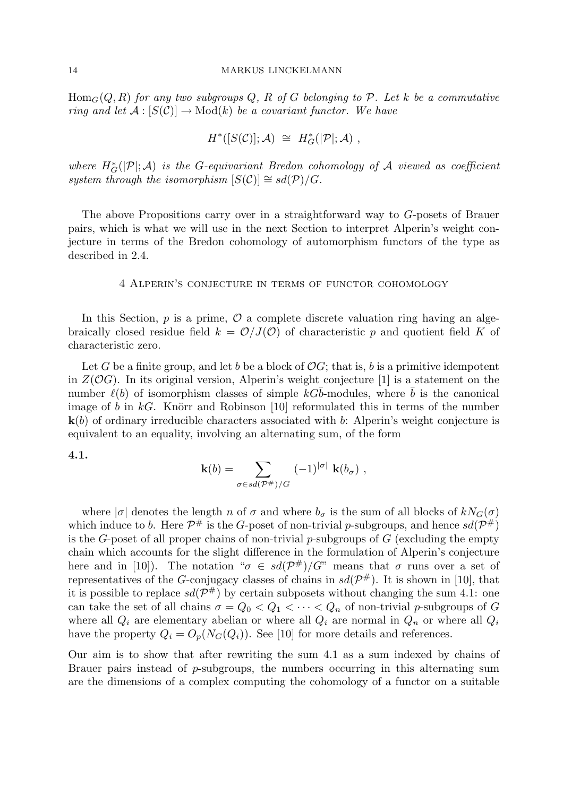$\text{Hom}_G(Q, R)$  for any two subgroups Q, R of G belonging to P. Let k be a commutative ring and let  $\mathcal{A}: [S(\mathcal{C})] \to \text{Mod}(k)$  be a covariant functor. We have

$$
H^*([S(\mathcal{C})];\mathcal{A})\;\cong\;H^*_G(|\mathcal{P}|;\mathcal{A})\;,
$$

where  $H^*_{G}(|\mathcal{P}|; \mathcal{A})$  is the G-equivariant Bredon cohomology of  $\mathcal A$  viewed as coefficient system through the isomorphism  $[S(\mathcal{C})] \cong sd(\mathcal{P})/G$ .

The above Propositions carry over in a straightforward way to G-posets of Brauer pairs, which is what we will use in the next Section to interpret Alperin's weight conjecture in terms of the Bredon cohomology of automorphism functors of the type as described in 2.4.

#### 4 Alperin's conjecture in terms of functor cohomology

In this Section,  $p$  is a prime,  $\mathcal O$  a complete discrete valuation ring having an algebraically closed residue field  $k = \mathcal{O}/J(\mathcal{O})$  of characteristic p and quotient field K of characteristic zero.

Let G be a finite group, and let b be a block of  $OG$ ; that is, b is a primitive idempotent in  $Z(\mathcal{O}G)$ . In its original version, Alperin's weight conjecture [1] is a statement on the number  $\ell(b)$  of isomorphism classes of simple kGb-modules, where b is the canonical image of b in  $kG$ . Knörr and Robinson [10] reformulated this in terms of the number  $k(b)$  of ordinary irreducible characters associated with b: Alperin's weight conjecture is equivalent to an equality, involving an alternating sum, of the form

#### 4.1.

$$
\mathbf{k}(b) = \sum_{\sigma \in sd(\mathcal{P}^*)/G} (-1)^{|\sigma|} \mathbf{k}(b_{\sigma}),
$$

where  $|\sigma|$  denotes the length n of  $\sigma$  and where  $b_{\sigma}$  is the sum of all blocks of  $kN_G(\sigma)$ which induce to b. Here  $\mathcal{P}^{\#}$  is the G-poset of non-trivial p-subgroups, and hence  $sd(\mathcal{P}^{\#})$ is the G-poset of all proper chains of non-trivial  $p$ -subgroups of  $G$  (excluding the empty chain which accounts for the slight difference in the formulation of Alperin's conjecture here and in [10]). The notation " $\sigma \in sd(\mathcal{P}^{\#})/G$ " means that  $\sigma$  runs over a set of representatives of the G-conjugacy classes of chains in  $sd(\mathcal{P}^{\#})$ . It is shown in [10], that it is possible to replace  $sd(\mathcal{P}^{\#})$  by certain subposets without changing the sum 4.1: one can take the set of all chains  $\sigma = Q_0 < Q_1 < \cdots < Q_n$  of non-trivial p-subgroups of G where all  $Q_i$  are elementary abelian or where all  $Q_i$  are normal in  $Q_n$  or where all  $Q_i$ have the property  $Q_i = O_p(N_G(Q_i))$ . See [10] for more details and references.

Our aim is to show that after rewriting the sum 4.1 as a sum indexed by chains of Brauer pairs instead of  $p$ -subgroups, the numbers occurring in this alternating sum are the dimensions of a complex computing the cohomology of a functor on a suitable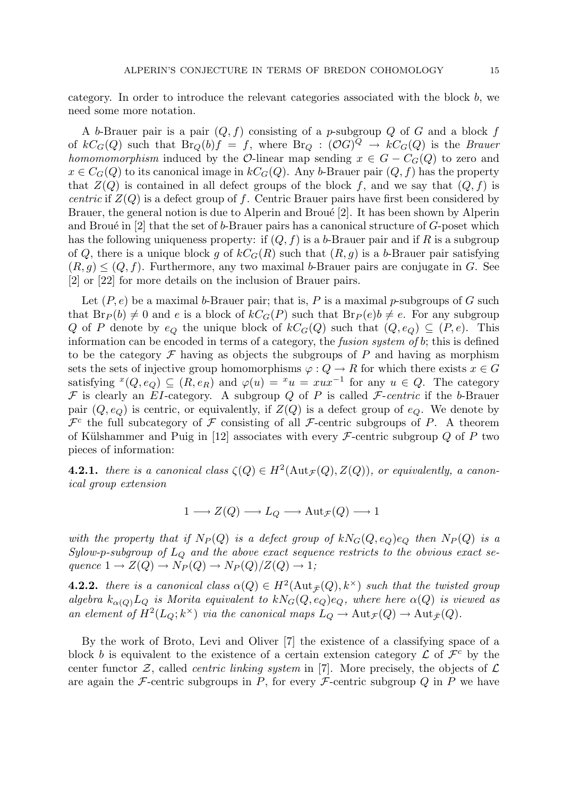category. In order to introduce the relevant categories associated with the block  $b$ , we need some more notation.

A b-Brauer pair is a pair  $(Q, f)$  consisting of a p-subgroup Q of G and a block f of  $kC_G(Q)$  such that  $Br_Q(b)f = f$ , where  $Br_Q: (OG)^Q \rightarrow kC_G(Q)$  is the *Brauer* homomorphism induced by the O-linear map sending  $x \in G - C<sub>G</sub>(Q)$  to zero and  $x \in C_G(Q)$  to its canonical image in  $kC_G(Q)$ . Any b-Brauer pair  $(Q, f)$  has the property that  $Z(Q)$  is contained in all defect groups of the block f, and we say that  $(Q, f)$  is *centric* if  $Z(Q)$  is a defect group of f. Centric Brauer pairs have first been considered by Brauer, the general notion is due to Alperin and Broué  $[2]$ . It has been shown by Alperin and Broué in  $[2]$  that the set of b-Brauer pairs has a canonical structure of G-poset which has the following uniqueness property: if  $(Q, f)$  is a b-Brauer pair and if R is a subgroup of Q, there is a unique block g of  $kC_G(R)$  such that  $(R, g)$  is a b-Brauer pair satisfying  $(R, g) \leq (Q, f)$ . Furthermore, any two maximal b-Brauer pairs are conjugate in G. See [2] or [22] for more details on the inclusion of Brauer pairs.

Let  $(P, e)$  be a maximal b-Brauer pair; that is, P is a maximal p-subgroups of G such that  $Br_P (b) \neq 0$  and e is a block of  $kC_G(P)$  such that  $Br_P (e)b \neq e$ . For any subgroup Q of P denote by  $e_Q$  the unique block of  $kC_G(Q)$  such that  $(Q, e_Q) \subseteq (P, e)$ . This information can be encoded in terms of a category, the *fusion system of b*; this is defined to be the category  $\mathcal F$  having as objects the subgroups of P and having as morphism sets the sets of injective group homomorphisms  $\varphi: Q \to R$  for which there exists  $x \in G$ satisfying  $^{x}(Q, e_{Q}) \subseteq (R, e_{R})$  and  $\varphi(u) = {}^{x}u = xux^{-1}$  for any  $u \in Q$ . The category  $F$  is clearly an EI-category. A subgroup Q of P is called  $F$ -centric if the b-Brauer pair  $(Q, e_{Q})$  is centric, or equivalently, if  $Z(Q)$  is a defect group of  $e_{Q}$ . We denote by  $\mathcal{F}^c$  the full subcategory of  $\mathcal F$  consisting of all  $\mathcal F$ -centric subgroups of P. A theorem of Külshammer and Puig in [12] associates with every  $\mathcal F$ -centric subgroup Q of P two pieces of information:

**4.2.1.** there is a canonical class  $\zeta(Q) \in H^2(\text{Aut}_{\mathcal{F}}(Q), Z(Q))$ , or equivalently, a canonical group extension

$$
1 \longrightarrow Z(Q) \longrightarrow L_Q \longrightarrow \text{Aut}_{\mathcal{F}}(Q) \longrightarrow 1
$$

with the property that if  $N_P(Q)$  is a defect group of  $kN_G(Q, e_Q)e_Q$  then  $N_P(Q)$  is a Sylow-p-subgroup of  $L_Q$  and the above exact sequence restricts to the obvious exact sequence  $1 \rightarrow Z(Q) \rightarrow N_P(Q) \rightarrow N_P(Q)/Z(Q) \rightarrow 1;$ 

**4.2.2.** there is a canonical class  $\alpha(Q) \in H^2(\text{Aut}_{\bar{\mathcal{F}}}(Q), k^{\times})$  such that the twisted group algebra  $k_{\alpha(Q)}L_Q$  is Morita equivalent to  $kN_G(Q, e_Q)e_Q$ , where here  $\alpha(Q)$  is viewed as an element of  $H^2(L_Q; k^\times)$  via the canonical maps  $L_Q \to \text{Aut}_{\mathcal{F}}(Q) \to \text{Aut}_{\mathcal{F}}(Q)$ .

By the work of Broto, Levi and Oliver [7] the existence of a classifying space of a block b is equivalent to the existence of a certain extension category  $\mathcal L$  of  $\mathcal F^c$  by the center functor  $\mathcal{Z}$ , called *centric linking system* in [7]. More precisely, the objects of  $\mathcal{L}$ are again the F-centric subgroups in P, for every F-centric subgroup  $Q$  in P we have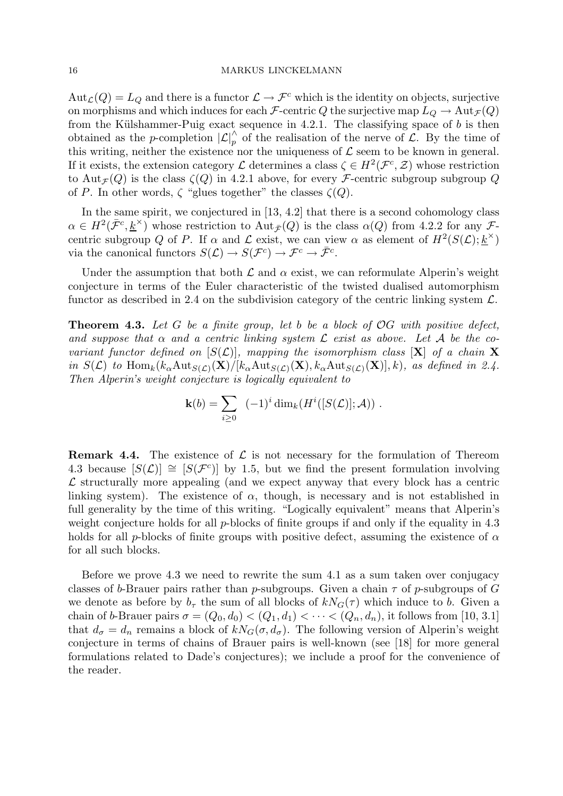$Aut_{\mathcal{L}}(Q) = L_Q$  and there is a functor  $\mathcal{L} \to \mathcal{F}^c$  which is the identity on objects, surjective on morphisms and which induces for each *F*-centric *Q* the surjective map  $L_Q \to \text{Aut}_{\mathcal{F}}(Q)$ from the Külshammer-Puig exact sequence in 4.2.1. The classifying space of  $b$  is then obtained as the *p*-completion  $|\mathcal{L}|_p^{\wedge}$  of the realisation of the nerve of  $\mathcal{L}$ . By the time of this writing, neither the existence nor the uniqueness of  $\mathcal L$  seem to be known in general. If it exists, the extension category  $\mathcal L$  determines a class  $\zeta \in H^2(\mathcal F^c,\mathcal Z)$  whose restriction to Aut<sub> $\mathcal{F}(Q)$ </sub> is the class  $\zeta(Q)$  in 4.2.1 above, for every *F*-centric subgroup subgroup *Q* of P. In other words,  $\zeta$  "glues together" the classes  $\zeta(Q)$ .

In the same spirit, we conjectured in [13, 4.2] that there is a second cohomology class  $\alpha \in H^2(\bar{\mathcal{F}}^c, \underline{k}^{\times})$  whose restriction to  $\text{Aut}_{\bar{\mathcal{F}}}(Q)$  is the class  $\alpha(Q)$  from 4.2.2 for any  $\mathcal{F}$ centric subgroup Q of P. If  $\alpha$  and  $\mathcal L$  exist, we can view  $\alpha$  as element of  $H^2(S(\mathcal L); \underline{k}^\times)$ via the canonical functors  $S(\mathcal{L}) \to S(\mathcal{F}^c) \to \mathcal{F}^c \to \bar{\mathcal{F}}^c$ .

Under the assumption that both  $\mathcal L$  and  $\alpha$  exist, we can reformulate Alperin's weight conjecture in terms of the Euler characteristic of the twisted dualised automorphism functor as described in 2.4 on the subdivision category of the centric linking system  $\mathcal{L}$ .

**Theorem 4.3.** Let G be a finite group, let b be a block of  $OG$  with positive defect, and suppose that  $\alpha$  and a centric linking system  $\mathcal L$  exist as above. Let A be the covariant functor defined on  $[S(\mathcal{L})]$ , mapping the isomorphism class  $[X]$  of a chain X in  $S(\mathcal{L})$  to  $\text{Hom}_k(k_\alpha \text{Aut}_{S(\mathcal{L})}(\mathbf{X})/[k_\alpha \text{Aut}_{S(\mathcal{L})}(\mathbf{X}), k_\alpha \text{Aut}_{S(\mathcal{L})}(\mathbf{X})], k)$ , as defined in 2.4. Then Alperin's weight conjecture is logically equivalent to

$$
\mathbf{k}(b) = \sum_{i \geq 0} (-1)^i \dim_k(H^i([S(\mathcal{L})]; \mathcal{A})) .
$$

**Remark 4.4.** The existence of  $\mathcal{L}$  is not necessary for the formulation of Thereom 4.3 because  $[S(\mathcal{L})] \cong [S(\mathcal{F}^c)]$  by 1.5, but we find the present formulation involving  $\mathcal L$  structurally more appealing (and we expect anyway that every block has a centric linking system). The existence of  $\alpha$ , though, is necessary and is not established in full generality by the time of this writing. "Logically equivalent" means that Alperin's weight conjecture holds for all p-blocks of finite groups if and only if the equality in 4.3 holds for all p-blocks of finite groups with positive defect, assuming the existence of  $\alpha$ for all such blocks.

Before we prove 4.3 we need to rewrite the sum 4.1 as a sum taken over conjugacy classes of b-Brauer pairs rather than p-subgroups. Given a chain  $\tau$  of p-subgroups of G we denote as before by  $b_{\tau}$  the sum of all blocks of  $kN_G(\tau)$  which induce to b. Given a chain of b-Brauer pairs  $\sigma = (Q_0, d_0) < (Q_1, d_1) < \cdots < (Q_n, d_n)$ , it follows from [10, 3.1] that  $d_{\sigma} = d_n$  remains a block of  $kN_G(\sigma, d_{\sigma})$ . The following version of Alperin's weight conjecture in terms of chains of Brauer pairs is well-known (see [18] for more general formulations related to Dade's conjectures); we include a proof for the convenience of the reader.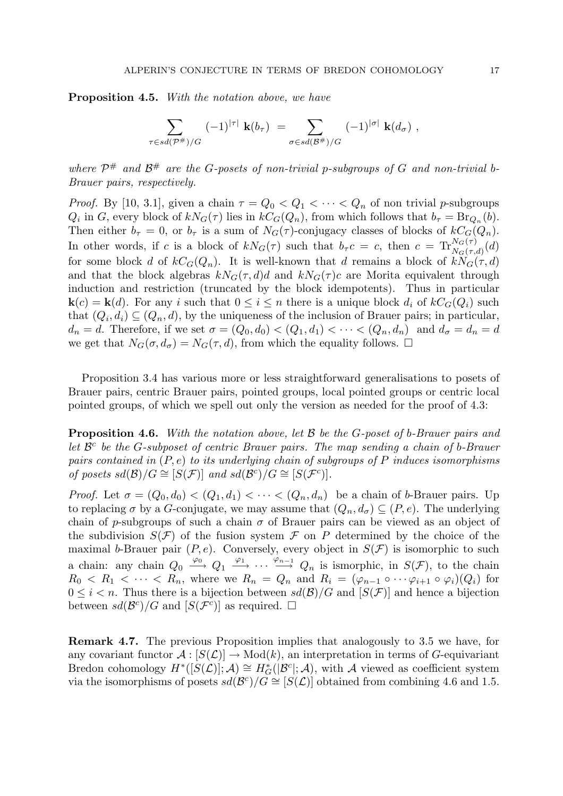Proposition 4.5. With the notation above, we have

$$
\sum_{\tau \in sd(\mathcal{P}^{\#})/G} (-1)^{|\tau|} \mathbf{k}(b_{\tau}) = \sum_{\sigma \in sd(\mathcal{B}^{\#})/G} (-1)^{|\sigma|} \mathbf{k}(d_{\sigma}),
$$

where  $\mathcal{P}^{\#}$  and  $\mathcal{B}^{\#}$  are the G-posets of non-trivial p-subgroups of G and non-trivial b-Brauer pairs, respectively.

*Proof.* By [10, 3.1], given a chain  $\tau = Q_0 < Q_1 < \cdots < Q_n$  of non trivial p-subgroups  $Q_i$  in G, every block of  $kN_G(\tau)$  lies in  $kC_G(Q_n)$ , from which follows that  $b_\tau = Br_{Q_n}(b)$ . Then either  $b_{\tau} = 0$ , or  $b_{\tau}$  is a sum of  $N_G(\tau)$ -conjugacy classes of blocks of  $kC_G(Q_n)$ . In other words, if c is a block of  $kN_G(\tau)$  such that  $b_\tau c = c$ , then  $c = \text{Tr}_{N_G(\tau,d)}^{N_G(\tau)}(d)$ for some block d of  $kC_G(Q_n)$ . It is well-known that d remains a block of  $kN_G(\tau, d)$ and that the block algebras  $kN_G(\tau, d)d$  and  $kN_G(\tau)c$  are Morita equivalent through induction and restriction (truncated by the block idempotents). Thus in particular  $\mathbf{k}(c) = \mathbf{k}(d)$ . For any i such that  $0 \leq i \leq n$  there is a unique block  $d_i$  of  $kC_G(Q_i)$  such that  $(Q_i, d_i) \subseteq (Q_n, d)$ , by the uniqueness of the inclusion of Brauer pairs; in particular,  $d_n = d$ . Therefore, if we set  $\sigma = (Q_0, d_0) < (Q_1, d_1) < \cdots < (Q_n, d_n)$  and  $d_{\sigma} = d_n = d$ we get that  $N_G(\sigma, d_{\sigma}) = N_G(\tau, d)$ , from which the equality follows.  $\Box$ 

Proposition 3.4 has various more or less straightforward generalisations to posets of Brauer pairs, centric Brauer pairs, pointed groups, local pointed groups or centric local pointed groups, of which we spell out only the version as needed for the proof of 4.3:

**Proposition 4.6.** With the notation above, let B be the G-poset of b-Brauer pairs and let  $\mathcal{B}^c$  be the G-subposet of centric Brauer pairs. The map sending a chain of b-Brauer pairs contained in  $(P, e)$  to its underlying chain of subgroups of P induces isomorphisms of posets  $sd(\mathcal{B})/G \cong [S(\mathcal{F})]$  and  $sd(\mathcal{B}^c)/G \cong [S(\mathcal{F}^c)]$ .

*Proof.* Let  $\sigma = (Q_0, d_0) < (Q_1, d_1) < \cdots < (Q_n, d_n)$  be a chain of b-Brauer pairs. Up to replacing  $\sigma$  by a G-conjugate, we may assume that  $(Q_n, d_{\sigma}) \subseteq (P, e)$ . The underlying chain of p-subgroups of such a chain  $\sigma$  of Brauer pairs can be viewed as an object of the subdivision  $S(\mathcal{F})$  of the fusion system  $\mathcal F$  on P determined by the choice of the maximal b-Brauer pair  $(P, e)$ . Conversely, every object in  $S(\mathcal{F})$  is isomorphic to such a chain: any chain  $Q_0 \stackrel{\varphi_0}{\longrightarrow} Q_1 \stackrel{\varphi_1}{\longrightarrow} \cdots \stackrel{\varphi_{n-1}}{\longrightarrow} Q_n$  is ismorphic, in  $S(\mathcal{F})$ , to the chain  $R_0 < R_1 < \cdots < R_n$ , where we  $R_n = Q_n$  and  $R_i = (\varphi_{n-1} \circ \cdots \varphi_{i+1} \circ \varphi_i)(Q_i)$  for  $0 \leq i \leq n$ . Thus there is a bijection between  $sd(\mathcal{B})/G$  and  $[S(\mathcal{F})]$  and hence a bijection between  $sd(\mathcal{B}^c)/G$  and  $[S(\mathcal{F}^c)]$  as required.  $\square$ 

Remark 4.7. The previous Proposition implies that analogously to 3.5 we have, for any covariant functor  $\mathcal{A}: [S(\mathcal{L})] \to \text{Mod}(k)$ , an interpretation in terms of G-equivariant Bredon cohomology  $H^*([S(\mathcal{L})]; \mathcal{A}) \cong H^*_{G}(|\mathcal{B}^c|; \mathcal{A}),$  with  $\mathcal A$  viewed as coefficient system via the isomorphisms of posets  $sd(\mathcal{B}^c)/G \cong [S(\mathcal{L})]$  obtained from combining 4.6 and 1.5.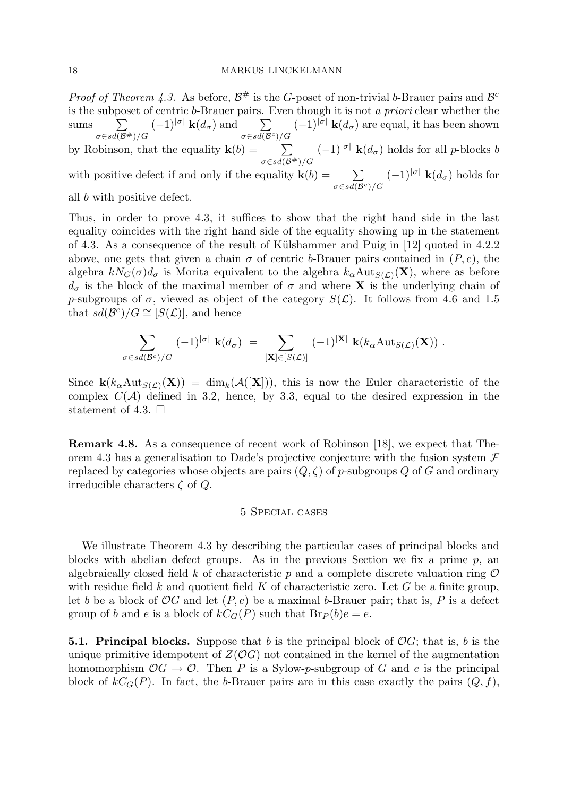*Proof of Theorem 4.3.* As before,  $\mathcal{B}^{\#}$  is the G-poset of non-trivial b-Brauer pairs and  $\mathcal{B}^c$ is the subposet of centric b-Brauer pairs. Even though it is not a priori clear whether the sums  $\sum$  $\sigma \in sd(\mathcal{B}^{\#})/G$  $(-1)^{|\sigma|} \mathbf{k}(d_{\sigma})$  and  $\sum$  $\sigma$ ∈sd(B<sup>c</sup>)/G  $(-1)^{|\sigma|}$  **k** $(d_{\sigma})$  are equal, it has been shown by Robinson, that the equality  $\mathbf{k}(b) = \sum_{\alpha}$  $\sigma \in sd(\mathcal{B}^{\#})/G$  $(-1)^{|\sigma|}$  **k** $(d_{\sigma})$  holds for all *p*-blocks *b* with positive defect if and only if the equality  $\mathbf{k}(b) = \sum_{\alpha}$  $\sigma \in sd(\mathcal{B}^c)/G$  $(-1)^{|\sigma|} \mathbf{k}(d_{\sigma})$  holds for all b with positive defect.

Thus, in order to prove 4.3, it suffices to show that the right hand side in the last equality coincides with the right hand side of the equality showing up in the statement of 4.3. As a consequence of the result of Külshammer and Puig in [12] quoted in 4.2.2 above, one gets that given a chain  $\sigma$  of centric b-Brauer pairs contained in  $(P, e)$ , the algebra  $kN_G(\sigma)d_{\sigma}$  is Morita equivalent to the algebra  $k_{\alpha}Aut_{S(\mathcal{L})}(\mathbf{X})$ , where as before  $d_{\sigma}$  is the block of the maximal member of  $\sigma$  and where **X** is the underlying chain of p-subgroups of  $\sigma$ , viewed as object of the category  $S(\mathcal{L})$ . It follows from 4.6 and 1.5 that  $sd(\mathcal{B}^c)/G \cong [S(\mathcal{L})]$ , and hence

$$
\sum_{\sigma \in sd(\mathcal{B}^c)/G} (-1)^{|\sigma|} \mathbf{k}(d_{\sigma}) = \sum_{[\mathbf{X}] \in [S(\mathcal{L})]} (-1)^{|\mathbf{X}|} \mathbf{k}(k_{\alpha} \text{Aut}_{S(\mathcal{L})}(\mathbf{X})).
$$

Since  $\mathbf{k}(k_{\alpha} \text{Aut}_{S(\mathcal{L})}(\mathbf{X})) = \dim_k(\mathcal{A}([\mathbf{X}]))$ , this is now the Euler characteristic of the complex  $C(\mathcal{A})$  defined in 3.2, hence, by 3.3, equal to the desired expression in the statement of 4.3.  $\Box$ 

Remark 4.8. As a consequence of recent work of Robinson [18], we expect that Theorem 4.3 has a generalisation to Dade's projective conjecture with the fusion system  $\mathcal F$ replaced by categories whose objects are pairs  $(Q, \zeta)$  of p-subgroups Q of G and ordinary irreducible characters  $\zeta$  of  $Q$ .

#### 5 Special cases

We illustrate Theorem 4.3 by describing the particular cases of principal blocks and blocks with abelian defect groups. As in the previous Section we fix a prime  $p$ , an algebraically closed field k of characteristic p and a complete discrete valuation ring  $\mathcal O$ with residue field k and quotient field K of characteristic zero. Let G be a finite group, let b be a block of  $OG$  and let  $(P, e)$  be a maximal b-Brauer pair; that is, P is a defect group of b and e is a block of  $kC<sub>G</sub>(P)$  such that  $Br<sub>P</sub>(b)e = e$ .

**5.1. Principal blocks.** Suppose that b is the principal block of  $OG$ ; that is, b is the unique primitive idempotent of  $Z(\mathcal{O}G)$  not contained in the kernel of the augmentation homomorphism  $OG \to O$ . Then P is a Sylow-p-subgroup of G and e is the principal block of  $kC_G(P)$ . In fact, the b-Brauer pairs are in this case exactly the pairs  $(Q, f)$ ,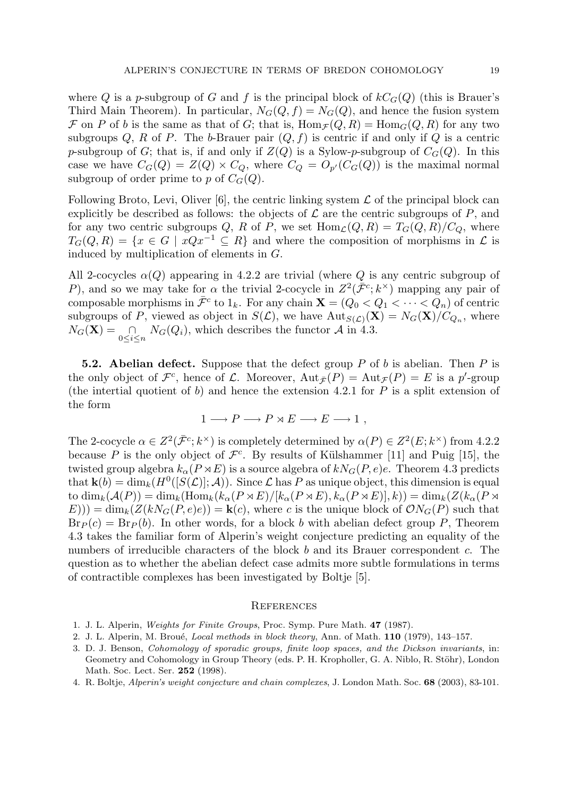where Q is a p-subgroup of G and f is the principal block of  $kC<sub>G</sub>(Q)$  (this is Brauer's Third Main Theorem). In particular,  $N_G(Q, f) = N_G(Q)$ , and hence the fusion system F on P of b is the same as that of G; that is,  $\text{Hom}_{\mathcal{F}}(Q, R) = \text{Hom}_G(Q, R)$  for any two subgroups Q, R of P. The b-Brauer pair  $(Q, f)$  is centric if and only if Q is a centric p-subgroup of G; that is, if and only if  $Z(Q)$  is a Sylow-p-subgroup of  $C_G(Q)$ . In this case we have  $C_G(Q) = Z(Q) \times C_Q$ , where  $C_Q = O_{p'}(C_G(Q))$  is the maximal normal subgroup of order prime to p of  $C_G(Q)$ .

Following Broto, Levi, Oliver [6], the centric linking system  $\mathcal L$  of the principal block can explicitly be described as follows: the objects of  $\mathcal L$  are the centric subgroups of P, and for any two centric subgroups Q, R of P, we set  $\text{Hom}_{\mathcal{L}}(Q, R) = T_G(Q, R)/C_Q$ , where  $T_G(Q, R) = \{x \in G \mid xQx^{-1} \subseteq R\}$  and where the composition of morphisms in  $\mathcal L$  is induced by multiplication of elements in G.

All 2-cocycles  $\alpha(Q)$  appearing in 4.2.2 are trivial (where Q is any centric subgroup of P), and so we may take for  $\alpha$  the trivial 2-cocycle in  $Z^2(\bar{\mathcal{F}}^c; k^{\times})$  mapping any pair of composable morphisms in  $\bar{\mathcal{F}}^c$  to  $1_k$ . For any chain  $\mathbf{X} = (Q_0 < Q_1 < \cdots < Q_n)$  of centric subgroups of P, viewed as object in  $S(\mathcal{L})$ , we have  ${\rm Aut}_{S(\mathcal{L})}(\mathbf{X}) = N_G(\mathbf{X})/C_{Q_n}$ , where  $N_G(\mathbf{X}) = \bigcap_{0 \leq i \leq n} N_G(Q_i)$ , which describes the functor  $\mathcal{A}$  in 4.3.

**5.2. Abelian defect.** Suppose that the defect group P of b is abelian. Then P is the only object of  $\mathcal{F}^c$ , hence of  $\mathcal{L}$ . Moreover,  $\text{Aut}_{\bar{\mathcal{F}}}(P) = \text{Aut}_{\mathcal{F}}(P) = E$  is a p'-group (the intertial quotient of b) and hence the extension 4.2.1 for  $P$  is a split extension of the form

$$
1 \longrightarrow P \longrightarrow P \rtimes E \longrightarrow E \longrightarrow 1 ,
$$

The 2-cocycle  $\alpha \in Z^2(\bar{\mathcal{F}}^c; k^\times)$  is completely determined by  $\alpha(P) \in Z^2(E; k^\times)$  from 4.2.2 because P is the only object of  $\mathcal{F}^c$ . By results of Külshammer [11] and Puig [15], the twisted group algebra  $k_{\alpha}(P \rtimes E)$  is a source algebra of  $kN_G(P, e)e$ . Theorem 4.3 predicts that  $\mathbf{k}(b) = \dim_k(H^0([S(\mathcal{L})]; \mathcal{A}))$ . Since  $\mathcal L$  has P as unique object, this dimension is equal to  $\dim_k(\mathcal{A}(P)) = \dim_k(\text{Hom}_k(k_\alpha(P \rtimes E)/[k_\alpha(P \rtimes E), k_\alpha(P \rtimes E)], k)) = \dim_k(Z(k_\alpha(P \rtimes E)), k_\alpha(P \rtimes E))$  $E(\mathbf{E}(E)) = \dim_k(\mathbf{Z}(kN_G(P,e)e)) = \mathbf{k}(c)$ , where c is the unique block of  $\mathcal{O}N_G(P)$  such that  $Br_P(c) = Br_P(b)$ . In other words, for a block b with abelian defect group P, Theorem 4.3 takes the familiar form of Alperin's weight conjecture predicting an equality of the numbers of irreducible characters of the block b and its Brauer correspondent c. The question as to whether the abelian defect case admits more subtle formulations in terms of contractible complexes has been investigated by Boltje [5].

#### **REFERENCES**

- 1. J. L. Alperin, Weights for Finite Groups, Proc. Symp. Pure Math. 47 (1987).
- 2. J. L. Alperin, M. Broué, *Local methods in block theory*, Ann. of Math. 110 (1979), 143–157.
- 3. D. J. Benson, Cohomology of sporadic groups, finite loop spaces, and the Dickson invariants, in: Geometry and Cohomology in Group Theory (eds. P. H. Kropholler, G. A. Niblo, R. Stöhr), London Math. Soc. Lect. Ser. 252 (1998).
- 4. R. Boltje, Alperin's weight conjecture and chain complexes, J. London Math. Soc. 68 (2003), 83-101.